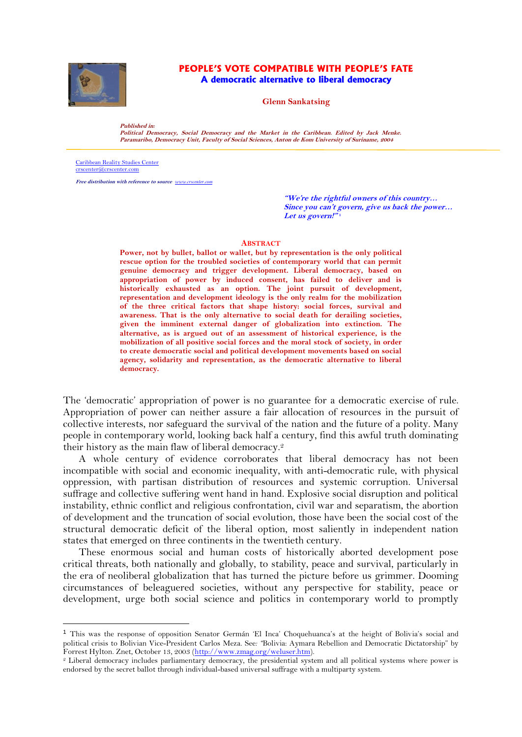

#### **PEOPLE'S VOTE COMPATIBLE WITH PEOPLE'S FATE A democratic alternative to liberal democracy**

**Glenn Sankatsing**

**Published in:** 

**Political Democracy, Social Democracy and the Market in the Caribbean. Edited by Jack Menke. Paramaribo, Democracy Unit, Faculty of Social Sciences, Anton de Kom University of Suriname, 2004**

[Caribbean Reality Studies Center](http://www.crscenter.com/) [crscenter@crscenter.com](mailto:crscenter@crscenter.com)

**Free distribution with reference to source** *ww* 

**"We're the rightful owners of this country… Since you can't govern, give us back the power… Let us govern!" 1**

#### **ABSTRACT**

**Power, not by bullet, ballot or wallet, but by representation is the only political rescue option for the troubled societies of contemporary world that can permit genuine democracy and trigger development. Liberal democracy, based on appropriation of power by induced consent, has failed to deliver and is historically exhausted as an option. The joint pursuit of development, representation and development ideology is the only realm for the mobilization of the three critical factors that shape history: social forces, survival and awareness. That is the only alternative to social death for derailing societies, given the imminent external danger of globalization into extinction. The alternative, as is argued out of an assessment of historical experience, is the mobilization of all positive social forces and the moral stock of society, in order to create democratic social and political development movements based on social agency, solidarity and representation, as the democratic alternative to liberal democracy.**

The 'democratic' appropriation of power is no guarantee for a democratic exercise of rule. Appropriation of power can neither assure a fair allocation of resources in the pursuit of collective interests, nor safeguard the survival of the nation and the future of a polity. Many people in contemporary world, looking back half a century, find this awful truth dominating their history as the main flaw of liberal democracy.<sup>2</sup>

A whole century of evidence corroborates that liberal democracy has not been incompatible with social and economic inequality, with anti-democratic rule, with physical oppression, with partisan distribution of resources and systemic corruption. Universal suffrage and collective suffering went hand in hand. Explosive social disruption and political instability, ethnic conflict and religious confrontation, civil war and separatism, the abortion of development and the truncation of social evolution, those have been the social cost of the structural democratic deficit of the liberal option, most saliently in independent nation states that emerged on three continents in the twentieth century.

These enormous social and human costs of historically aborted development pose critical threats, both nationally and globally, to stability, peace and survival, particularly in the era of neoliberal globalization that has turned the picture before us grimmer. Dooming circumstances of beleaguered societies, without any perspective for stability, peace or development, urge both social science and politics in contemporary world to promptly

<sup>1</sup> This was the response of opposition Senator Germán 'El Inca' Choquehuanca's at the height of Bolivia's social and political crisis to Bolivian Vice-President Carlos Meza. See*: "*Bolivia: Aymara Rebellion and Democratic Dictatorship" by Forrest Hylton. Znet, October 13, 2003 [\(http://www.zmag.org/weluser.htm\)](http://www.zmag.org/weluser.htm).

<sup>2</sup> Liberal democracy includes parliamentary democracy, the presidential system and all political systems where power is endorsed by the secret ballot through individual-based universal suffrage with a multiparty system.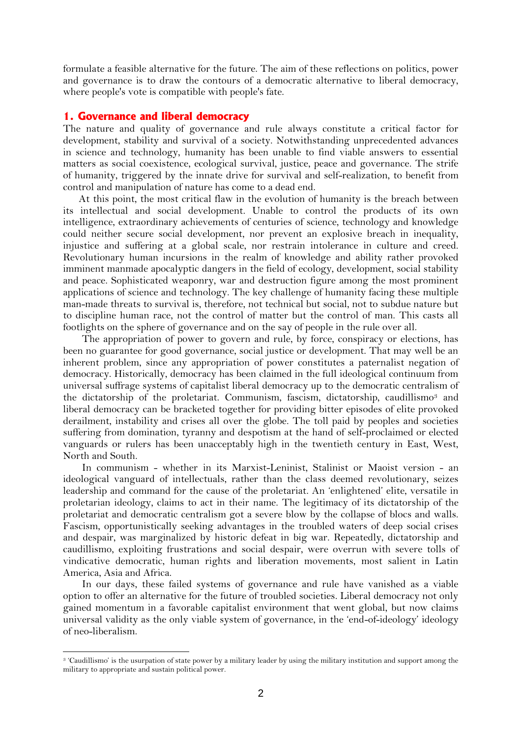formulate a feasible alternative for the future. The aim of these reflections on politics, power and governance is to draw the contours of a democratic alternative to liberal democracy, where people's vote is compatible with people's fate.

#### **1. Governance and liberal democracy**

The nature and quality of governance and rule always constitute a critical factor for development, stability and survival of a society. Notwithstanding unprecedented advances in science and technology, humanity has been unable to find viable answers to essential matters as social coexistence, ecological survival, justice, peace and governance. The strife of humanity, triggered by the innate drive for survival and self-realization, to benefit from control and manipulation of nature has come to a dead end.

At this point, the most critical flaw in the evolution of humanity is the breach between its intellectual and social development. Unable to control the products of its own intelligence, extraordinary achievements of centuries of science, technology and knowledge could neither secure social development, nor prevent an explosive breach in inequality, injustice and suffering at a global scale, nor restrain intolerance in culture and creed. Revolutionary human incursions in the realm of knowledge and ability rather provoked imminent manmade apocalyptic dangers in the field of ecology, development, social stability and peace. Sophisticated weaponry, war and destruction figure among the most prominent applications of science and technology. The key challenge of humanity facing these multiple man-made threats to survival is, therefore, not technical but social, not to subdue nature but to discipline human race, not the control of matter but the control of man. This casts all footlights on the sphere of governance and on the say of people in the rule over all.

The appropriation of power to govern and rule, by force, conspiracy or elections, has been no guarantee for good governance, social justice or development. That may well be an inherent problem, since any appropriation of power constitutes a paternalist negation of democracy. Historically, democracy has been claimed in the full ideological continuum from universal suffrage systems of capitalist liberal democracy up to the democratic centralism of the dictatorship of the proletariat. Communism, fascism, dictatorship, caudillismo<sup>3</sup> and liberal democracy can be bracketed together for providing bitter episodes of elite provoked derailment, instability and crises all over the globe. The toll paid by peoples and societies suffering from domination, tyranny and despotism at the hand of self-proclaimed or elected vanguards or rulers has been unacceptably high in the twentieth century in East, West, North and South.

In communism - whether in its Marxist-Leninist, Stalinist or Maoist version - an ideological vanguard of intellectuals, rather than the class deemed revolutionary, seizes leadership and command for the cause of the proletariat. An 'enlightened' elite, versatile in proletarian ideology, claims to act in their name. The legitimacy of its dictatorship of the proletariat and democratic centralism got a severe blow by the collapse of blocs and walls. Fascism, opportunistically seeking advantages in the troubled waters of deep social crises and despair, was marginalized by historic defeat in big war. Repeatedly, dictatorship and caudillismo, exploiting frustrations and social despair, were overrun with severe tolls of vindicative democratic, human rights and liberation movements, most salient in Latin America, Asia and Africa.

In our days, these failed systems of governance and rule have vanished as a viable option to offer an alternative for the future of troubled societies. Liberal democracy not only gained momentum in a favorable capitalist environment that went global, but now claims universal validity as the only viable system of governance, in the 'end-of-ideology' ideology of neo-liberalism.

<sup>3</sup> 'Caudillismo' is the usurpation of state power by a military leader by using the military institution and support among the military to appropriate and sustain political power.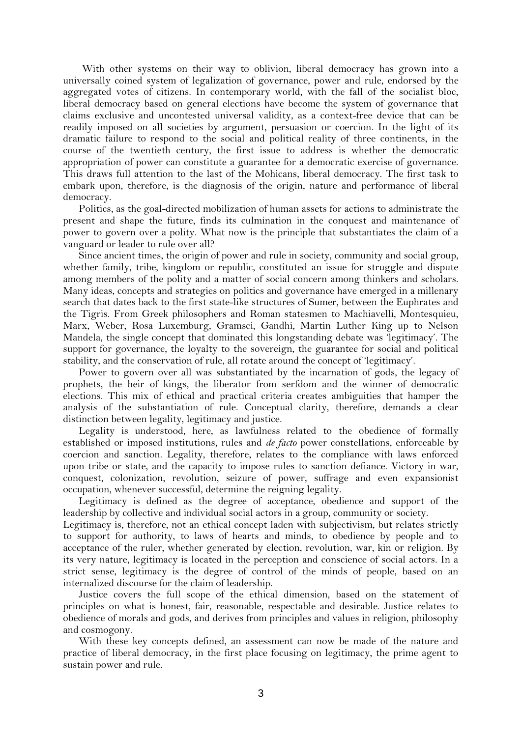With other systems on their way to oblivion, liberal democracy has grown into a universally coined system of legalization of governance, power and rule, endorsed by the aggregated votes of citizens. In contemporary world, with the fall of the socialist bloc, liberal democracy based on general elections have become the system of governance that claims exclusive and uncontested universal validity, as a context-free device that can be readily imposed on all societies by argument, persuasion or coercion. In the light of its dramatic failure to respond to the social and political reality of three continents, in the course of the twentieth century, the first issue to address is whether the democratic appropriation of power can constitute a guarantee for a democratic exercise of governance. This draws full attention to the last of the Mohicans, liberal democracy. The first task to embark upon, therefore, is the diagnosis of the origin, nature and performance of liberal democracy.

Politics, as the goal-directed mobilization of human assets for actions to administrate the present and shape the future, finds its culmination in the conquest and maintenance of power to govern over a polity. What now is the principle that substantiates the claim of a vanguard or leader to rule over all?

Since ancient times, the origin of power and rule in society, community and social group, whether family, tribe, kingdom or republic, constituted an issue for struggle and dispute among members of the polity and a matter of social concern among thinkers and scholars. Many ideas, concepts and strategies on politics and governance have emerged in a millenary search that dates back to the first state-like structures of Sumer, between the Euphrates and the Tigris. From Greek philosophers and Roman statesmen to Machiavelli, Montesquieu, Marx, Weber, Rosa Luxemburg, Gramsci, Gandhi, Martin Luther King up to Nelson Mandela, the single concept that dominated this longstanding debate was 'legitimacy'. The support for governance, the loyalty to the sovereign, the guarantee for social and political stability, and the conservation of rule, all rotate around the concept of 'legitimacy'.

Power to govern over all was substantiated by the incarnation of gods, the legacy of prophets, the heir of kings, the liberator from serfdom and the winner of democratic elections. This mix of ethical and practical criteria creates ambiguities that hamper the analysis of the substantiation of rule. Conceptual clarity, therefore, demands a clear distinction between legality, legitimacy and justice.

Legality is understood, here, as lawfulness related to the obedience of formally established or imposed institutions, rules and *de facto* power constellations, enforceable by coercion and sanction. Legality, therefore, relates to the compliance with laws enforced upon tribe or state, and the capacity to impose rules to sanction defiance. Victory in war, conquest, colonization, revolution, seizure of power, suffrage and even expansionist occupation, whenever successful, determine the reigning legality.

Legitimacy is defined as the degree of acceptance, obedience and support of the leadership by collective and individual social actors in a group, community or society.

Legitimacy is, therefore, not an ethical concept laden with subjectivism, but relates strictly to support for authority, to laws of hearts and minds, to obedience by people and to acceptance of the ruler, whether generated by election, revolution, war, kin or religion. By its very nature, legitimacy is located in the perception and conscience of social actors. In a strict sense, legitimacy is the degree of control of the minds of people, based on an internalized discourse for the claim of leadership.

Justice covers the full scope of the ethical dimension, based on the statement of principles on what is honest, fair, reasonable, respectable and desirable. Justice relates to obedience of morals and gods, and derives from principles and values in religion, philosophy and cosmogony.

With these key concepts defined, an assessment can now be made of the nature and practice of liberal democracy, in the first place focusing on legitimacy, the prime agent to sustain power and rule.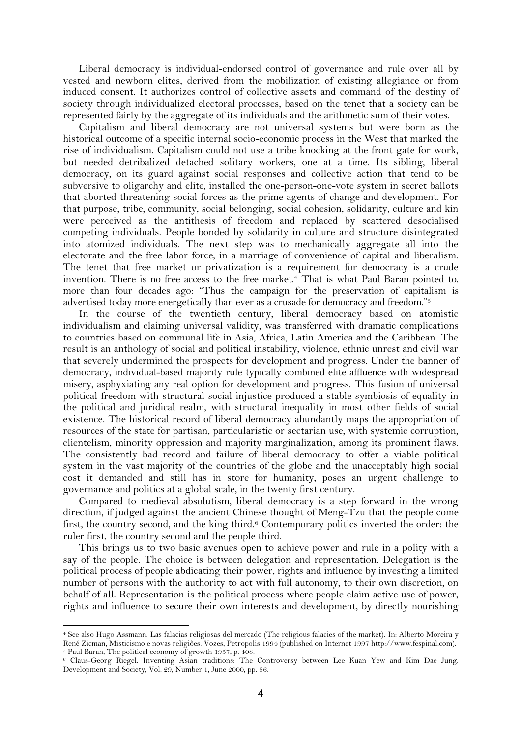Liberal democracy is individual-endorsed control of governance and rule over all by vested and newborn elites, derived from the mobilization of existing allegiance or from induced consent. It authorizes control of collective assets and command of the destiny of society through individualized electoral processes, based on the tenet that a society can be represented fairly by the aggregate of its individuals and the arithmetic sum of their votes.

Capitalism and liberal democracy are not universal systems but were born as the historical outcome of a specific internal socio-economic process in the West that marked the rise of individualism. Capitalism could not use a tribe knocking at the front gate for work, but needed detribalized detached solitary workers, one at a time. Its sibling, liberal democracy, on its guard against social responses and collective action that tend to be subversive to oligarchy and elite, installed the one-person-one-vote system in secret ballots that aborted threatening social forces as the prime agents of change and development. For that purpose, tribe, community, social belonging, social cohesion, solidarity, culture and kin were perceived as the antithesis of freedom and replaced by scattered desocialised competing individuals. People bonded by solidarity in culture and structure disintegrated into atomized individuals. The next step was to mechanically aggregate all into the electorate and the free labor force, in a marriage of convenience of capital and liberalism. The tenet that free market or privatization is a requirement for democracy is a crude invention. There is no free access to the free market.<sup>4</sup> That is what Paul Baran pointed to, more than four decades ago: "Thus the campaign for the preservation of capitalism is advertised today more energetically than ever as a crusade for democracy and freedom."<sup>5</sup>

In the course of the twentieth century, liberal democracy based on atomistic individualism and claiming universal validity, was transferred with dramatic complications to countries based on communal life in Asia, Africa, Latin America and the Caribbean. The result is an anthology of social and political instability, violence, ethnic unrest and civil war that severely undermined the prospects for development and progress. Under the banner of democracy, individual-based majority rule typically combined elite affluence with widespread misery, asphyxiating any real option for development and progress. This fusion of universal political freedom with structural social injustice produced a stable symbiosis of equality in the political and juridical realm, with structural inequality in most other fields of social existence. The historical record of liberal democracy abundantly maps the appropriation of resources of the state for partisan, particularistic or sectarian use, with systemic corruption, clientelism, minority oppression and majority marginalization, among its prominent flaws. The consistently bad record and failure of liberal democracy to offer a viable political system in the vast majority of the countries of the globe and the unacceptably high social cost it demanded and still has in store for humanity, poses an urgent challenge to governance and politics at a global scale, in the twenty first century.

Compared to medieval absolutism, liberal democracy is a step forward in the wrong direction, if judged against the ancient Chinese thought of Meng-Tzu that the people come first, the country second, and the king third.<sup>6</sup> Contemporary politics inverted the order: the ruler first, the country second and the people third.

This brings us to two basic avenues open to achieve power and rule in a polity with a say of the people. The choice is between delegation and representation. Delegation is the political process of people abdicating their power, rights and influence by investing a limited number of persons with the authority to act with full autonomy, to their own discretion, on behalf of all. Representation is the political process where people claim active use of power, rights and influence to secure their own interests and development, by directly nourishing

<sup>4</sup> See also Hugo Assmann. Las falacias religiosas del mercado (The religious falacies of the market). In: Alberto Moreira y René Zicman, Misticismo e novas religiôes. Vozes, Petropolis 1994 (published on Internet 1997 http://www.fespinal.com). <sup>5</sup> Paul Baran, The political economy of growth 1957, p. 408.

<sup>6</sup> Claus-Georg Riegel. Inventing Asian traditions: The Controversy between Lee Kuan Yew and Kim Dae Jung. Development and Society, Vol. 29, Number 1, June 2000, pp. 86.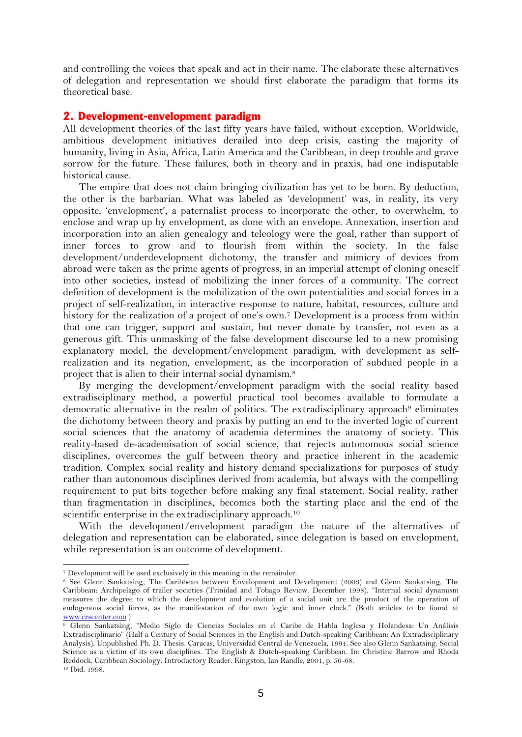and controlling the voices that speak and act in their name. The elaborate these alternatives of delegation and representation we should first elaborate the paradigm that forms its theoretical base.

### **2. Development-envelopment paradigm**

All development theories of the last fifty years have failed, without exception. Worldwide, ambitious development initiatives derailed into deep crisis, casting the majority of humanity, living in Asia, Africa, Latin America and the Caribbean, in deep trouble and grave sorrow for the future. These failures, both in theory and in praxis, had one indisputable historical cause.

The empire that does not claim bringing civilization has yet to be born. By deduction, the other is the barbarian. What was labeled as 'development' was, in reality, its very opposite, 'envelopment', a paternalist process to incorporate the other, to overwhelm, to enclose and wrap up by envelopment, as done with an envelope. Annexation, insertion and incorporation into an alien genealogy and teleology were the goal, rather than support of inner forces to grow and to flourish from within the society. In the false development/underdevelopment dichotomy, the transfer and mimicry of devices from abroad were taken as the prime agents of progress, in an imperial attempt of cloning oneself into other societies, instead of mobilizing the inner forces of a community. The correct definition of development is the mobilization of the own potentialities and social forces in a project of self-realization, in interactive response to nature, habitat, resources, culture and history for the realization of a project of one's own.<sup>7</sup> Development is a process from within that one can trigger, support and sustain, but never donate by transfer, not even as a generous gift. This unmasking of the false development discourse led to a new promising explanatory model, the development/envelopment paradigm, with development as selfrealization and its negation, envelopment, as the incorporation of subdued people in a project that is alien to their internal social dynamism.<sup>8</sup>

By merging the development/envelopment paradigm with the social reality based extradisciplinary method, a powerful practical tool becomes available to formulate a democratic alternative in the realm of politics. The extradisciplinary approach<sup>9</sup> eliminates the dichotomy between theory and praxis by putting an end to the inverted logic of current social sciences that the anatomy of academia determines the anatomy of society. This reality-based de-academisation of social science, that rejects autonomous social science disciplines, overcomes the gulf between theory and practice inherent in the academic tradition. Complex social reality and history demand specializations for purposes of study rather than autonomous disciplines derived from academia, but always with the compelling requirement to put bits together before making any final statement. Social reality, rather than fragmentation in disciplines, becomes both the starting place and the end of the scientific enterprise in the extradisciplinary approach.<sup>10</sup>

With the development/envelopment paradigm the nature of the alternatives of delegation and representation can be elaborated, since delegation is based on envelopment, while representation is an outcome of development.

<sup>7</sup> Development will be used exclusively in this meaning in the remainder.

<sup>8</sup> See Glenn Sankatsing, The Caribbean between Envelopment and Development (2003) and Glenn Sankatsing, The Caribbean: Archipelago of trailer societies (Trinidad and Tobago Review. December 1998). "Internal social dynamism measures the degree to which the development and evolution of a social unit are the product of the operation of endogenous social forces, as the manifestation of the own logic and inner clock." (Both articles to be found at [www.crscenter.com](http://www.crscenter.com/) )

<sup>&</sup>lt;sup>9</sup> Glenn Sankatsing, "Medio Siglo de Ciencias Sociales en el Caribe de Habla Inglesa y Holandesa: Un Análisis Extradisciplinario" (Half a Century of Social Sciences in the English and Dutch-speaking Caribbean: An Extradisciplinary Analysis). Unpublished Ph. D. Thesis. Caracas, Universidad Central de Venezuela, 1994. See also Glenn Sankatsing. Social Science as a victim of its own disciplines. The English & Dutch-speaking Caribbean. In: Christine Barrow and Rhoda Reddock. Caribbean Sociology. Introductory Reader. Kingston, Ian Randle, 2001, p. 56-68. <sup>10</sup> Ibid. 1998.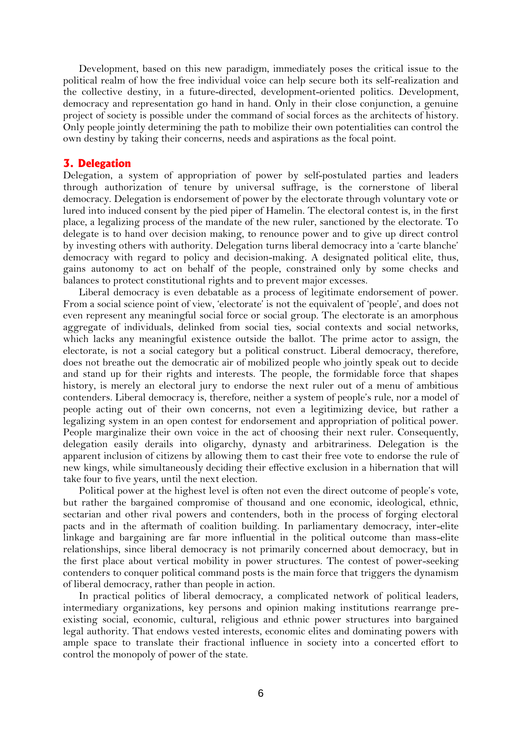Development, based on this new paradigm, immediately poses the critical issue to the political realm of how the free individual voice can help secure both its self-realization and the collective destiny, in a future-directed, development-oriented politics. Development, democracy and representation go hand in hand. Only in their close conjunction, a genuine project of society is possible under the command of social forces as the architects of history. Only people jointly determining the path to mobilize their own potentialities can control the own destiny by taking their concerns, needs and aspirations as the focal point.

### **3. Delegation**

Delegation, a system of appropriation of power by self-postulated parties and leaders through authorization of tenure by universal suffrage, is the cornerstone of liberal democracy. Delegation is endorsement of power by the electorate through voluntary vote or lured into induced consent by the pied piper of Hamelin. The electoral contest is, in the first place, a legalizing process of the mandate of the new ruler, sanctioned by the electorate. To delegate is to hand over decision making, to renounce power and to give up direct control by investing others with authority. Delegation turns liberal democracy into a 'carte blanche' democracy with regard to policy and decision-making. A designated political elite, thus, gains autonomy to act on behalf of the people, constrained only by some checks and balances to protect constitutional rights and to prevent major excesses.

Liberal democracy is even debatable as a process of legitimate endorsement of power. From a social science point of view, 'electorate' is not the equivalent of 'people', and does not even represent any meaningful social force or social group. The electorate is an amorphous aggregate of individuals, delinked from social ties, social contexts and social networks, which lacks any meaningful existence outside the ballot. The prime actor to assign, the electorate, is not a social category but a political construct. Liberal democracy, therefore, does not breathe out the democratic air of mobilized people who jointly speak out to decide and stand up for their rights and interests. The people, the formidable force that shapes history, is merely an electoral jury to endorse the next ruler out of a menu of ambitious contenders. Liberal democracy is, therefore, neither a system of people's rule, nor a model of people acting out of their own concerns, not even a legitimizing device, but rather a legalizing system in an open contest for endorsement and appropriation of political power. People marginalize their own voice in the act of choosing their next ruler. Consequently, delegation easily derails into oligarchy, dynasty and arbitrariness. Delegation is the apparent inclusion of citizens by allowing them to cast their free vote to endorse the rule of new kings, while simultaneously deciding their effective exclusion in a hibernation that will take four to five years, until the next election.

Political power at the highest level is often not even the direct outcome of people's vote, but rather the bargained compromise of thousand and one economic, ideological, ethnic, sectarian and other rival powers and contenders, both in the process of forging electoral pacts and in the aftermath of coalition building. In parliamentary democracy, inter-elite linkage and bargaining are far more influential in the political outcome than mass-elite relationships, since liberal democracy is not primarily concerned about democracy, but in the first place about vertical mobility in power structures. The contest of power-seeking contenders to conquer political command posts is the main force that triggers the dynamism of liberal democracy, rather than people in action.

In practical politics of liberal democracy, a complicated network of political leaders, intermediary organizations, key persons and opinion making institutions rearrange preexisting social, economic, cultural, religious and ethnic power structures into bargained legal authority. That endows vested interests, economic elites and dominating powers with ample space to translate their fractional influence in society into a concerted effort to control the monopoly of power of the state.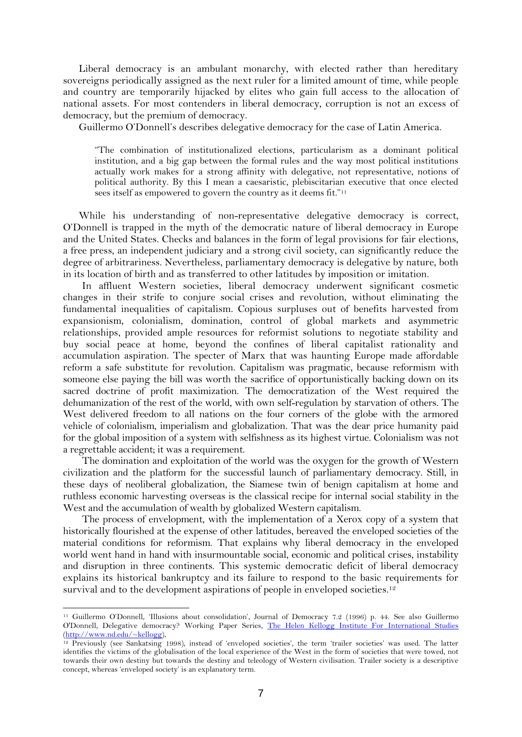Liberal democracy is an ambulant monarchy, with elected rather than hereditary sovereigns periodically assigned as the next ruler for a limited amount of time, while people and country are temporarily hijacked by elites who gain full access to the allocation of national assets. For most contenders in liberal democracy, corruption is not an excess of democracy, but the premium of democracy.

Guillermo O'Donnell's describes delegative democracy for the case of Latin America.

"The combination of institutionalized elections, particularism as a dominant political institution, and a big gap between the formal rules and the way most political institutions actually work makes for a strong affinity with delegative, not representative, notions of political authority. By this I mean a caesaristic, plebiscitarian executive that once elected sees itself as empowered to govern the country as it deems fit."<sup>11</sup>

While his understanding of non-representative delegative democracy is correct, O'Donnell is trapped in the myth of the democratic nature of liberal democracy in Europe and the United States. Checks and balances in the form of legal provisions for fair elections, a free press, an independent judiciary and a strong civil society, can significantly reduce the degree of arbitrariness. Nevertheless, parliamentary democracy is delegative by nature, both in its location of birth and as transferred to other latitudes by imposition or imitation.

In affluent Western societies, liberal democracy underwent significant cosmetic changes in their strife to conjure social crises and revolution, without eliminating the fundamental inequalities of capitalism. Copious surpluses out of benefits harvested from expansionism, colonialism, domination, control of global markets and asymmetric relationships, provided ample resources for reformist solutions to negotiate stability and buy social peace at home, beyond the confines of liberal capitalist rationality and accumulation aspiration. The specter of Marx that was haunting Europe made affordable reform a safe substitute for revolution. Capitalism was pragmatic, because reformism with someone else paying the bill was worth the sacrifice of opportunistically backing down on its sacred doctrine of profit maximization. The democratization of the West required the dehumanization of the rest of the world, with own self-regulation by starvation of others. The West delivered freedom to all nations on the four corners of the globe with the armored vehicle of colonialism, imperialism and globalization. That was the dear price humanity paid for the global imposition of a system with selfishness as its highest virtue. Colonialism was not a regrettable accident; it was a requirement.

The domination and exploitation of the world was the oxygen for the growth of Western civilization and the platform for the successful launch of parliamentary democracy. Still, in these days of neoliberal globalization, the Siamese twin of benign capitalism at home and ruthless economic harvesting overseas is the classical recipe for internal social stability in the West and the accumulation of wealth by globalized Western capitalism.

The process of envelopment, with the implementation of a Xerox copy of a system that historically flourished at the expense of other latitudes, bereaved the enveloped societies of the material conditions for reformism. That explains why liberal democracy in the enveloped world went hand in hand with insurmountable social, economic and political crises, instability and disruption in three continents. This systemic democratic deficit of liberal democracy explains its historical bankruptcy and its failure to respond to the basic requirements for survival and to the development aspirations of people in enveloped societies.<sup>12</sup>

<sup>11</sup> Guillermo O'Donnell, 'Illusions about consolidation', Journal of Democracy 7.2 (1996) p. 44. See also Guillermo O'Donnell, Delegative democracy? Working Paper Series, [The Helen Kellogg Institute For International Studies](http://www.nd.edu/~kellogg) [\(http://www.nd.edu/~kellogg\)](http://www.nd.edu/~kellogg),

<sup>12</sup> Previously (see Sankatsing 1998), instead of 'enveloped societies', the term 'trailer societies' was used. The latter identifies the victims of the globalisation of the local experience of the West in the form of societies that were towed, not towards their own destiny but towards the destiny and teleology of Western civilisation. Trailer society is a descriptive concept, whereas 'enveloped society' is an explanatory term.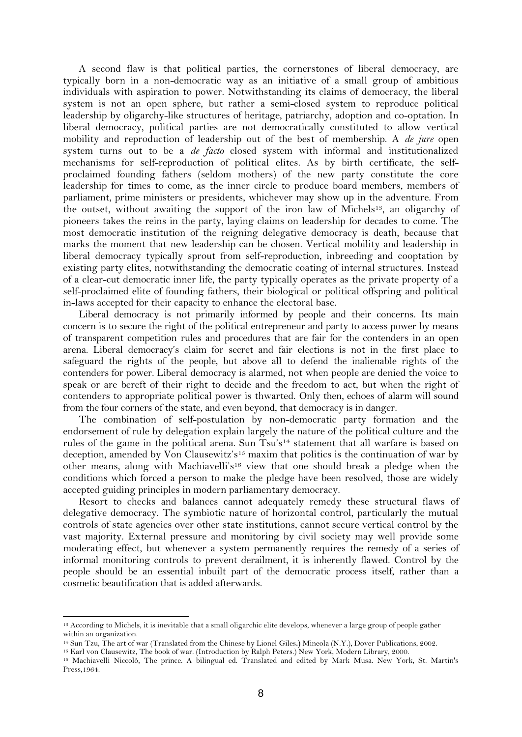A second flaw is that political parties, the cornerstones of liberal democracy, are typically born in a non-democratic way as an initiative of a small group of ambitious individuals with aspiration to power. Notwithstanding its claims of democracy, the liberal system is not an open sphere, but rather a semi-closed system to reproduce political leadership by oligarchy-like structures of heritage, patriarchy, adoption and co-optation. In liberal democracy, political parties are not democratically constituted to allow vertical mobility and reproduction of leadership out of the best of membership. A *de jure* open system turns out to be a *de facto* closed system with informal and institutionalized mechanisms for self-reproduction of political elites. As by birth certificate, the selfproclaimed founding fathers (seldom mothers) of the new party constitute the core leadership for times to come, as the inner circle to produce board members, members of parliament, prime ministers or presidents, whichever may show up in the adventure. From the outset, without awaiting the support of the iron law of Michels<sup>13</sup>, an oligarchy of pioneers takes the reins in the party, laying claims on leadership for decades to come. The most democratic institution of the reigning delegative democracy is death, because that marks the moment that new leadership can be chosen. Vertical mobility and leadership in liberal democracy typically sprout from self-reproduction, inbreeding and cooptation by existing party elites, notwithstanding the democratic coating of internal structures. Instead of a clear-cut democratic inner life, the party typically operates as the private property of a self-proclaimed elite of founding fathers, their biological or political offspring and political in-laws accepted for their capacity to enhance the electoral base.

Liberal democracy is not primarily informed by people and their concerns. Its main concern is to secure the right of the political entrepreneur and party to access power by means of transparent competition rules and procedures that are fair for the contenders in an open arena. Liberal democracy's claim for secret and fair elections is not in the first place to safeguard the rights of the people, but above all to defend the inalienable rights of the contenders for power. Liberal democracy is alarmed, not when people are denied the voice to speak or are bereft of their right to decide and the freedom to act, but when the right of contenders to appropriate political power is thwarted. Only then, echoes of alarm will sound from the four corners of the state, and even beyond, that democracy is in danger.

The combination of self-postulation by non-democratic party formation and the endorsement of rule by delegation explain largely the nature of the political culture and the rules of the game in the political arena. Sun Tsu's<sup>14</sup> statement that all warfare is based on deception, amended by Von Clausewitz's<sup>15</sup> maxim that politics is the continuation of war by other means, along with Machiavelli's<sup>16</sup> view that one should break a pledge when the conditions which forced a person to make the pledge have been resolved, those are widely accepted guiding principles in modern parliamentary democracy.

Resort to checks and balances cannot adequately remedy these structural flaws of delegative democracy. The symbiotic nature of horizontal control, particularly the mutual controls of state agencies over other state institutions, cannot secure vertical control by the vast majority. External pressure and monitoring by civil society may well provide some moderating effect, but whenever a system permanently requires the remedy of a series of informal monitoring controls to prevent derailment, it is inherently flawed. Control by the people should be an essential inbuilt part of the democratic process itself, rather than a cosmetic beautification that is added afterwards.

<sup>13</sup> According to Michels, it is inevitable that a small oligarchic elite develops, whenever a large group of people gather within an organization.

<sup>14</sup> Sun Tzu, The art of war (Translated from the Chinese by Lionel Giles**.)** Mineola (N.Y.), Dover Publications, 2002.

<sup>15</sup> Karl von Clausewitz, The book of war. (Introduction by Ralph Peters.) New York, Modern Library, 2000.

<sup>16</sup> Machiavelli Niccolò, The prince. A bilingual ed. Translated and edited by Mark Musa. New York, St. Martin's Press,1964.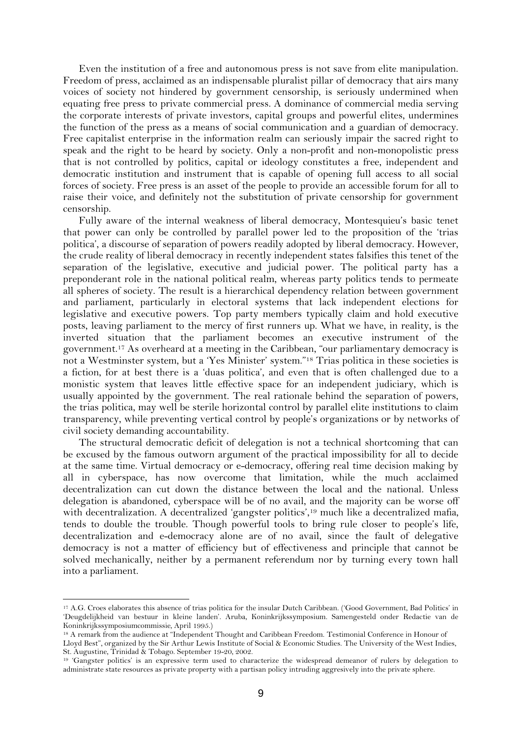Even the institution of a free and autonomous press is not save from elite manipulation. Freedom of press, acclaimed as an indispensable pluralist pillar of democracy that airs many voices of society not hindered by government censorship, is seriously undermined when equating free press to private commercial press. A dominance of commercial media serving the corporate interests of private investors, capital groups and powerful elites, undermines the function of the press as a means of social communication and a guardian of democracy. Free capitalist enterprise in the information realm can seriously impair the sacred right to speak and the right to be heard by society. Only a non-profit and non-monopolistic press that is not controlled by politics, capital or ideology constitutes a free, independent and democratic institution and instrument that is capable of opening full access to all social forces of society. Free press is an asset of the people to provide an accessible forum for all to raise their voice, and definitely not the substitution of private censorship for government censorship.

Fully aware of the internal weakness of liberal democracy, Montesquieu's basic tenet that power can only be controlled by parallel power led to the proposition of the 'trias politica', a discourse of separation of powers readily adopted by liberal democracy. However, the crude reality of liberal democracy in recently independent states falsifies this tenet of the separation of the legislative, executive and judicial power. The political party has a preponderant role in the national political realm, whereas party politics tends to permeate all spheres of society. The result is a hierarchical dependency relation between government and parliament, particularly in electoral systems that lack independent elections for legislative and executive powers. Top party members typically claim and hold executive posts, leaving parliament to the mercy of first runners up. What we have, in reality, is the inverted situation that the parliament becomes an executive instrument of the government.<sup>17</sup> As overheard at a meeting in the Caribbean, "our parliamentary democracy is not a Westminster system, but a 'Yes Minister' system."<sup>18</sup> Trias politica in these societies is a fiction, for at best there is a 'duas politica', and even that is often challenged due to a monistic system that leaves little effective space for an independent judiciary, which is usually appointed by the government. The real rationale behind the separation of powers, the trias politica, may well be sterile horizontal control by parallel elite institutions to claim transparency, while preventing vertical control by people's organizations or by networks of civil society demanding accountability.

The structural democratic deficit of delegation is not a technical shortcoming that can be excused by the famous outworn argument of the practical impossibility for all to decide at the same time. Virtual democracy or e-democracy, offering real time decision making by all in cyberspace, has now overcome that limitation, while the much acclaimed decentralization can cut down the distance between the local and the national. Unless delegation is abandoned, cyberspace will be of no avail, and the majority can be worse off with decentralization. A decentralized 'gangster politics',<sup>19</sup> much like a decentralized mafia, tends to double the trouble. Though powerful tools to bring rule closer to people's life, decentralization and e-democracy alone are of no avail, since the fault of delegative democracy is not a matter of efficiency but of effectiveness and principle that cannot be solved mechanically, neither by a permanent referendum nor by turning every town hall into a parliament.

<sup>17</sup> A.G. Croes elaborates this absence of trias politica for the insular Dutch Caribbean. ('Good Government, Bad Politics' in 'Deugdelijkheid van bestuur in kleine landen'. Aruba, Koninkrijkssymposium. Samengesteld onder Redactie van de Koninkrijkssymposiumcommissie, April 1995.)

<sup>18</sup> A remark from the audience at "Independent Thought and Caribbean Freedom. Testimonial Conference in Honour of Lloyd Best", organized by the Sir Arthur Lewis Institute of Social & Economic Studies. The University of the West Indies, St. Augustine, Trinidad & Tobago. September 19-20, 2002.

<sup>19</sup> 'Gangster politics' is an expressive term used to characterize the widespread demeanor of rulers by delegation to administrate state resources as private property with a partisan policy intruding aggresively into the private sphere.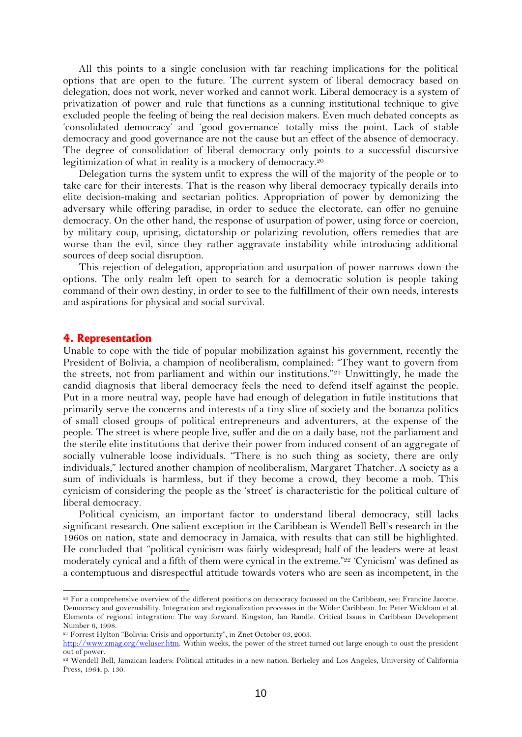All this points to a single conclusion with far reaching implications for the political options that are open to the future. The current system of liberal democracy based on delegation, does not work, never worked and cannot work. Liberal democracy is a system of privatization of power and rule that functions as a cunning institutional technique to give excluded people the feeling of being the real decision makers. Even much debated concepts as 'consolidated democracy' and 'good governance' totally miss the point. Lack of stable democracy and good governance are not the cause but an effect of the absence of democracy. The degree of consolidation of liberal democracy only points to a successful discursive legitimization of what in reality is a mockery of democracy.<sup>20</sup>

Delegation turns the system unfit to express the will of the majority of the people or to take care for their interests. That is the reason why liberal democracy typically derails into elite decision-making and sectarian politics. Appropriation of power by demonizing the adversary while offering paradise, in order to seduce the electorate, can offer no genuine democracy. On the other hand, the response of usurpation of power, using force or coercion, by military coup, uprising, dictatorship or polarizing revolution, offers remedies that are worse than the evil, since they rather aggravate instability while introducing additional sources of deep social disruption.

This rejection of delegation, appropriation and usurpation of power narrows down the options. The only realm left open to search for a democratic solution is people taking command of their own destiny, in order to see to the fulfillment of their own needs, interests and aspirations for physical and social survival.

#### **4. Representation**

Unable to cope with the tide of popular mobilization against his government, recently the President of Bolivia, a champion of neoliberalism, complained: "They want to govern from the streets, not from parliament and within our institutions."<sup>21</sup> Unwittingly, he made the candid diagnosis that liberal democracy feels the need to defend itself against the people. Put in a more neutral way, people have had enough of delegation in futile institutions that primarily serve the concerns and interests of a tiny slice of society and the bonanza politics of small closed groups of political entrepreneurs and adventurers, at the expense of the people. The street is where people live, suffer and die on a daily base, not the parliament and the sterile elite institutions that derive their power from induced consent of an aggregate of socially vulnerable loose individuals. "There is no such thing as society, there are only individuals," lectured another champion of neoliberalism, Margaret Thatcher. A society as a sum of individuals is harmless, but if they become a crowd, they become a mob. This cynicism of considering the people as the 'street' is characteristic for the political culture of liberal democracy.

Political cynicism, an important factor to understand liberal democracy, still lacks significant research. One salient exception in the Caribbean is Wendell Bell's research in the 1960s on nation, state and democracy in Jamaica, with results that can still be highlighted. He concluded that "political cynicism was fairly widespread; half of the leaders were at least moderately cynical and a fifth of them were cynical in the extreme."<sup>22</sup> 'Cynicism' was defined as a contemptuous and disrespectful attitude towards voters who are seen as incompetent, in the

<sup>20</sup> For a comprehensive overview of the different positions on democracy focussed on the Caribbean, see: Francine Jacome. Democracy and governability. Integration and regionalization processes in the Wider Caribbean. In: Peter Wickham et al. Elements of regional integration: The way forward. Kingston, Ian Randle. Critical Issues in Caribbean Development Number 6, 1998.

<sup>21</sup> Forrest Hylton "Bolivia: Crisis and opportunity", in Znet October 03, 2003.

[http://www.zmag.org/weluser.htm.](http://www.zmag.org/weluser.htm) Within weeks, the power of the street turned out large enough to oust the president out of power.

<sup>22</sup> Wendell Bell, Jamaican leaders: Political attitudes in a new nation. Berkeley and Los Angeles, University of California Press, 1964, p. 130.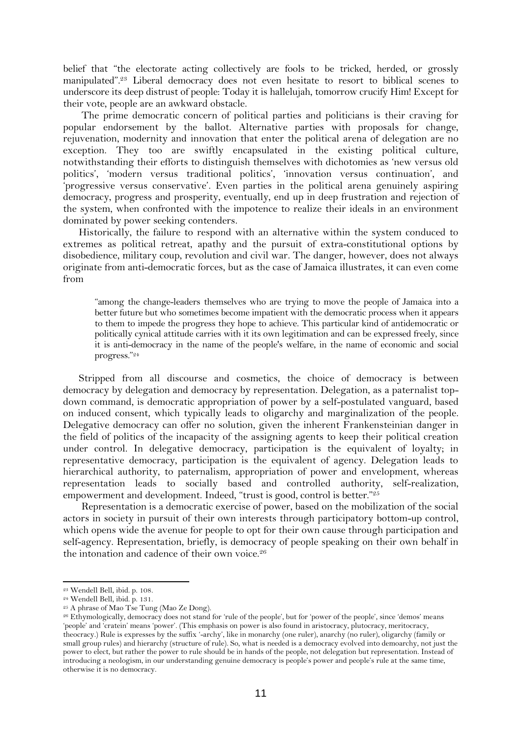belief that "the electorate acting collectively are fools to be tricked, herded, or grossly manipulated".<sup>23</sup> Liberal democracy does not even hesitate to resort to biblical scenes to underscore its deep distrust of people: Today it is hallelujah, tomorrow crucify Him! Except for their vote, people are an awkward obstacle.

The prime democratic concern of political parties and politicians is their craving for popular endorsement by the ballot. Alternative parties with proposals for change, rejuvenation, modernity and innovation that enter the political arena of delegation are no exception. They too are swiftly encapsulated in the existing political culture, notwithstanding their efforts to distinguish themselves with dichotomies as 'new versus old politics', 'modern versus traditional politics', 'innovation versus continuation', and 'progressive versus conservative'. Even parties in the political arena genuinely aspiring democracy, progress and prosperity, eventually, end up in deep frustration and rejection of the system, when confronted with the impotence to realize their ideals in an environment dominated by power seeking contenders.

Historically, the failure to respond with an alternative within the system conduced to extremes as political retreat, apathy and the pursuit of extra-constitutional options by disobedience, military coup, revolution and civil war. The danger, however, does not always originate from anti-democratic forces, but as the case of Jamaica illustrates, it can even come from

"among the change-leaders themselves who are trying to move the people of Jamaica into a better future but who sometimes become impatient with the democratic process when it appears to them to impede the progress they hope to achieve. This particular kind of antidemocratic or politically cynical attitude carries with it its own legitimation and can be expressed freely, since it is anti-democracy in the name of the people's welfare, in the name of economic and social progress."<sup>24</sup>

Stripped from all discourse and cosmetics, the choice of democracy is between democracy by delegation and democracy by representation. Delegation, as a paternalist topdown command, is democratic appropriation of power by a self-postulated vanguard, based on induced consent, which typically leads to oligarchy and marginalization of the people. Delegative democracy can offer no solution, given the inherent Frankensteinian danger in the field of politics of the incapacity of the assigning agents to keep their political creation under control. In delegative democracy, participation is the equivalent of loyalty; in representative democracy, participation is the equivalent of agency. Delegation leads to hierarchical authority, to paternalism, appropriation of power and envelopment, whereas representation leads to socially based and controlled authority, self-realization, empowerment and development. Indeed, "trust is good, control is better."<sup>25</sup>

Representation is a democratic exercise of power, based on the mobilization of the social actors in society in pursuit of their own interests through participatory bottom-up control, which opens wide the avenue for people to opt for their own cause through participation and self-agency. Representation, briefly, is democracy of people speaking on their own behalf in the intonation and cadence of their own voice.<sup>26</sup>

<sup>23</sup> Wendell Bell, ibid. p. 108.

<sup>24</sup> Wendell Bell, ibid. p. 131.

<sup>&</sup>lt;sup>25</sup> A phrase of Mao Tse Tung (Mao Ze Dong).

<sup>26</sup> Ethymologically, democracy does not stand for 'rule of the people', but for 'power of the people', since 'demos' means 'people' and 'cratein' means 'power'. (This emphasis on power is also found in aristocracy, plutocracy, meritocracy, theocracy.) Rule is expresses by the suffix '-archy', like in monarchy (one ruler), anarchy (no ruler), oligarchy (family or small group rules) and hierarchy (structure of rule). So, what is needed is a democracy evolved into demoarchy, not just the power to elect, but rather the power to rule should be in hands of the people, not delegation but representation. Instead of introducing a neologism, in our understanding genuine democracy is people's power and people's rule at the same time, otherwise it is no democracy.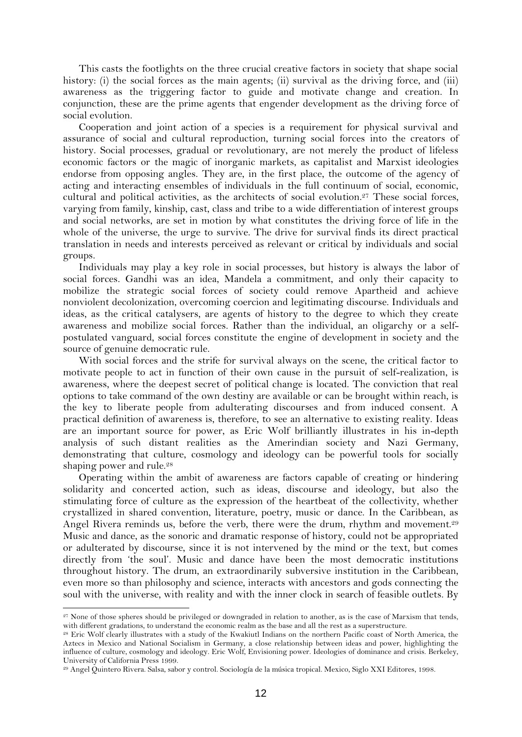This casts the footlights on the three crucial creative factors in society that shape social history: (i) the social forces as the main agents; (ii) survival as the driving force, and (iii) awareness as the triggering factor to guide and motivate change and creation. In conjunction, these are the prime agents that engender development as the driving force of social evolution.

Cooperation and joint action of a species is a requirement for physical survival and assurance of social and cultural reproduction, turning social forces into the creators of history. Social processes, gradual or revolutionary, are not merely the product of lifeless economic factors or the magic of inorganic markets, as capitalist and Marxist ideologies endorse from opposing angles. They are, in the first place, the outcome of the agency of acting and interacting ensembles of individuals in the full continuum of social, economic, cultural and political activities, as the architects of social evolution.<sup>27</sup> These social forces, varying from family, kinship, cast, class and tribe to a wide differentiation of interest groups and social networks, are set in motion by what constitutes the driving force of life in the whole of the universe, the urge to survive. The drive for survival finds its direct practical translation in needs and interests perceived as relevant or critical by individuals and social groups.

Individuals may play a key role in social processes, but history is always the labor of social forces. Gandhi was an idea, Mandela a commitment, and only their capacity to mobilize the strategic social forces of society could remove Apartheid and achieve nonviolent decolonization, overcoming coercion and legitimating discourse. Individuals and ideas, as the critical catalysers, are agents of history to the degree to which they create awareness and mobilize social forces. Rather than the individual, an oligarchy or a selfpostulated vanguard, social forces constitute the engine of development in society and the source of genuine democratic rule.

With social forces and the strife for survival always on the scene, the critical factor to motivate people to act in function of their own cause in the pursuit of self-realization, is awareness, where the deepest secret of political change is located. The conviction that real options to take command of the own destiny are available or can be brought within reach, is the key to liberate people from adulterating discourses and from induced consent. A practical definition of awareness is, therefore, to see an alternative to existing reality. Ideas are an important source for power, as Eric Wolf brilliantly illustrates in his in-depth analysis of such distant realities as the Amerindian society and Nazi Germany, demonstrating that culture, cosmology and ideology can be powerful tools for socially shaping power and rule.<sup>28</sup>

Operating within the ambit of awareness are factors capable of creating or hindering solidarity and concerted action, such as ideas, discourse and ideology, but also the stimulating force of culture as the expression of the heartbeat of the collectivity, whether crystallized in shared convention, literature, poetry, music or dance. In the Caribbean, as Angel Rivera reminds us, before the verb, there were the drum, rhythm and movement.<sup>29</sup> Music and dance, as the sonoric and dramatic response of history, could not be appropriated or adulterated by discourse, since it is not intervened by the mind or the text, but comes directly from 'the soul'. Music and dance have been the most democratic institutions throughout history. The drum, an extraordinarily subversive institution in the Caribbean, even more so than philosophy and science, interacts with ancestors and gods connecting the soul with the universe, with reality and with the inner clock in search of feasible outlets. By

<sup>&</sup>lt;sup>27</sup> None of those spheres should be privileged or downgraded in relation to another, as is the case of Marxism that tends, with different gradations, to understand the economic realm as the base and all the rest as a superstructure.

<sup>28</sup> Eric Wolf clearly illustrates with a study of the Kwakiutl Indians on the northern Pacific coast of North America, the Aztecs in Mexico and National Socialism in Germany, a close relationship between ideas and power, highlighting the influence of culture, cosmology and ideology. Eric Wolf, Envisioning power. Ideologies of dominance and crisis. Berkeley, University of California Press 1999.

<sup>29</sup> Angel Quintero Rivera. Salsa, sabor y control. Sociología de la música tropical. Mexico, Siglo XXI Editores, 1998.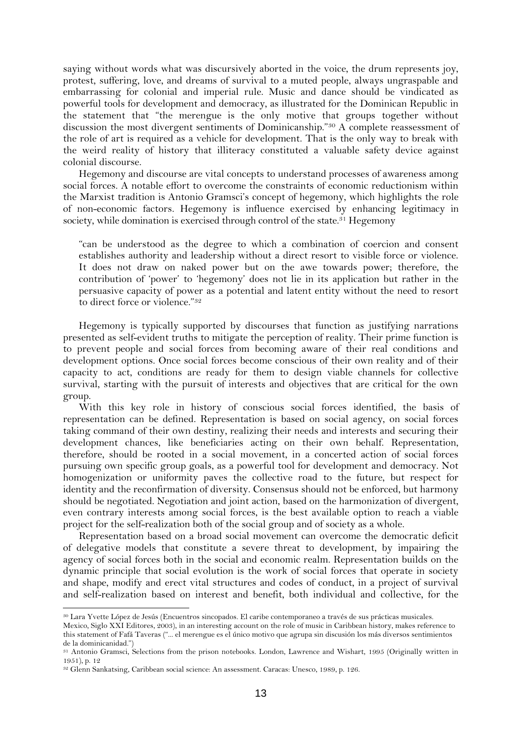saying without words what was discursively aborted in the voice, the drum represents joy, protest, suffering, love, and dreams of survival to a muted people, always ungraspable and embarrassing for colonial and imperial rule. Music and dance should be vindicated as powerful tools for development and democracy, as illustrated for the Dominican Republic in the statement that "the merengue is the only motive that groups together without discussion the most divergent sentiments of Dominicanship."<sup>30</sup> A complete reassessment of the role of art is required as a vehicle for development. That is the only way to break with the weird reality of history that illiteracy constituted a valuable safety device against colonial discourse.

Hegemony and discourse are vital concepts to understand processes of awareness among social forces. A notable effort to overcome the constraints of economic reductionism within the Marxist tradition is Antonio Gramsci's concept of hegemony, which highlights the role of non-economic factors. Hegemony is influence exercised by enhancing legitimacy in society, while domination is exercised through control of the state.<sup>31</sup> Hegemony

"can be understood as the degree to which a combination of coercion and consent establishes authority and leadership without a direct resort to visible force or violence. It does not draw on naked power but on the awe towards power; therefore, the contribution of 'power' to 'hegemony' does not lie in its application but rather in the persuasive capacity of power as a potential and latent entity without the need to resort to direct force or violence."<sup>32</sup>

Hegemony is typically supported by discourses that function as justifying narrations presented as self-evident truths to mitigate the perception of reality. Their prime function is to prevent people and social forces from becoming aware of their real conditions and development options. Once social forces become conscious of their own reality and of their capacity to act, conditions are ready for them to design viable channels for collective survival, starting with the pursuit of interests and objectives that are critical for the own group.

With this key role in history of conscious social forces identified, the basis of representation can be defined. Representation is based on social agency, on social forces taking command of their own destiny, realizing their needs and interests and securing their development chances, like beneficiaries acting on their own behalf. Representation, therefore, should be rooted in a social movement, in a concerted action of social forces pursuing own specific group goals, as a powerful tool for development and democracy. Not homogenization or uniformity paves the collective road to the future, but respect for identity and the reconfirmation of diversity. Consensus should not be enforced, but harmony should be negotiated. Negotiation and joint action, based on the harmonization of divergent, even contrary interests among social forces, is the best available option to reach a viable project for the self-realization both of the social group and of society as a whole.

Representation based on a broad social movement can overcome the democratic deficit of delegative models that constitute a severe threat to development, by impairing the agency of social forces both in the social and economic realm. Representation builds on the dynamic principle that social evolution is the work of social forces that operate in society and shape, modify and erect vital structures and codes of conduct, in a project of survival and self-realization based on interest and benefit, both individual and collective, for the

<sup>30</sup> Lara Yvette López de Jesús (Encuentros sincopados. El caribe contemporaneo a través de sus prácticas musicales.

Mexico, Siglo XXI Editores, 2003), in an interesting account on the role of music in Caribbean history, makes reference to this statement of Fafá Taveras ("... el merengue es el único motivo que agrupa sin discusión los más diversos sentimientos de la dominicanidad.")

<sup>31</sup> Antonio Gramsci, Selections from the prison notebooks. London, Lawrence and Wishart, 1995 (Originally written in 1951), p. 12

<sup>32</sup> Glenn Sankatsing, Caribbean social science: An assessment. Caracas: Unesco, 1989, p. 126.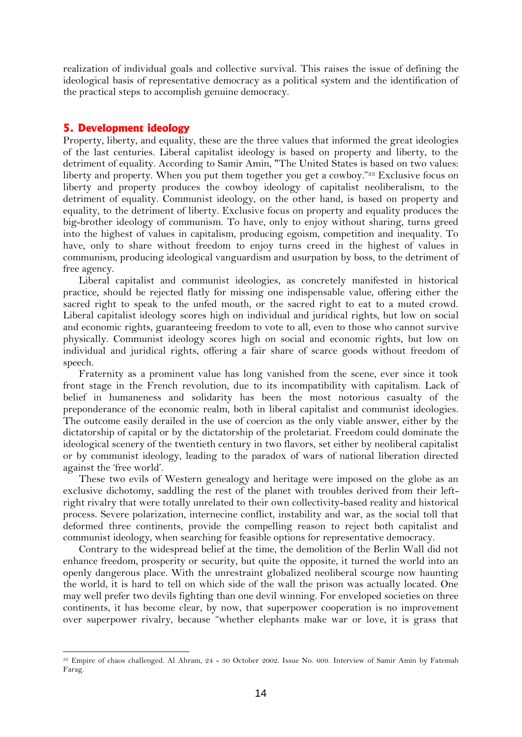realization of individual goals and collective survival. This raises the issue of defining the ideological basis of representative democracy as a political system and the identification of the practical steps to accomplish genuine democracy.

### **5. Development ideology**

Property, liberty, and equality, these are the three values that informed the great ideologies of the last centuries. Liberal capitalist ideology is based on property and liberty, to the detriment of equality. According to Samir Amin, "The United States is based on two values: liberty and property. When you put them together you get a cowboy."<sup>33</sup> Exclusive focus on liberty and property produces the cowboy ideology of capitalist neoliberalism, to the detriment of equality. Communist ideology, on the other hand, is based on property and equality, to the detriment of liberty. Exclusive focus on property and equality produces the big-brother ideology of communism. To have, only to enjoy without sharing, turns greed into the highest of values in capitalism, producing egoism, competition and inequality. To have, only to share without freedom to enjoy turns creed in the highest of values in communism, producing ideological vanguardism and usurpation by boss, to the detriment of free agency.

Liberal capitalist and communist ideologies, as concretely manifested in historical practice, should be rejected flatly for missing one indispensable value, offering either the sacred right to speak to the unfed mouth, or the sacred right to eat to a muted crowd. Liberal capitalist ideology scores high on individual and juridical rights, but low on social and economic rights, guaranteeing freedom to vote to all, even to those who cannot survive physically. Communist ideology scores high on social and economic rights, but low on individual and juridical rights, offering a fair share of scarce goods without freedom of speech.

Fraternity as a prominent value has long vanished from the scene, ever since it took front stage in the French revolution, due to its incompatibility with capitalism. Lack of belief in humaneness and solidarity has been the most notorious casualty of the preponderance of the economic realm, both in liberal capitalist and communist ideologies. The outcome easily derailed in the use of coercion as the only viable answer, either by the dictatorship of capital or by the dictatorship of the proletariat. Freedom could dominate the ideological scenery of the twentieth century in two flavors, set either by neoliberal capitalist or by communist ideology, leading to the paradox of wars of national liberation directed against the 'free world'.

These two evils of Western genealogy and heritage were imposed on the globe as an exclusive dichotomy, saddling the rest of the planet with troubles derived from their leftright rivalry that were totally unrelated to their own collectivity-based reality and historical process. Severe polarization, internecine conflict, instability and war, as the social toll that deformed three continents, provide the compelling reason to reject both capitalist and communist ideology, when searching for feasible options for representative democracy.

Contrary to the widespread belief at the time, the demolition of the Berlin Wall did not enhance freedom, prosperity or security, but quite the opposite, it turned the world into an openly dangerous place. With the unrestraint globalized neoliberal scourge now haunting the world, it is hard to tell on which side of the wall the prison was actually located. One may well prefer two devils fighting than one devil winning. For enveloped societies on three continents, it has become clear, by now, that superpower cooperation is no improvement over superpower rivalry, because "whether elephants make war or love, it is grass that

<sup>33</sup> Empire of chaos challenged. Al Ahram, 24 - 30 October 2002. Issue No. 609. Interview of Samir Amin by Fatemah Farag.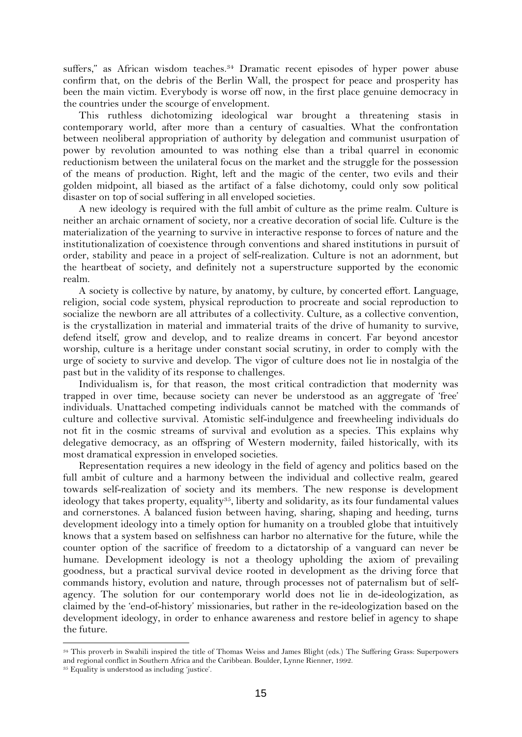suffers," as African wisdom teaches.<sup>34</sup> Dramatic recent episodes of hyper power abuse confirm that, on the debris of the Berlin Wall, the prospect for peace and prosperity has been the main victim. Everybody is worse off now, in the first place genuine democracy in the countries under the scourge of envelopment.

This ruthless dichotomizing ideological war brought a threatening stasis in contemporary world, after more than a century of casualties. What the confrontation between neoliberal appropriation of authority by delegation and communist usurpation of power by revolution amounted to was nothing else than a tribal quarrel in economic reductionism between the unilateral focus on the market and the struggle for the possession of the means of production. Right, left and the magic of the center, two evils and their golden midpoint, all biased as the artifact of a false dichotomy, could only sow political disaster on top of social suffering in all enveloped societies.

A new ideology is required with the full ambit of culture as the prime realm. Culture is neither an archaic ornament of society, nor a creative decoration of social life. Culture is the materialization of the yearning to survive in interactive response to forces of nature and the institutionalization of coexistence through conventions and shared institutions in pursuit of order, stability and peace in a project of self-realization. Culture is not an adornment, but the heartbeat of society, and definitely not a superstructure supported by the economic realm.

A society is collective by nature, by anatomy, by culture, by concerted effort. Language, religion, social code system, physical reproduction to procreate and social reproduction to socialize the newborn are all attributes of a collectivity. Culture, as a collective convention, is the crystallization in material and immaterial traits of the drive of humanity to survive, defend itself, grow and develop, and to realize dreams in concert. Far beyond ancestor worship, culture is a heritage under constant social scrutiny, in order to comply with the urge of society to survive and develop. The vigor of culture does not lie in nostalgia of the past but in the validity of its response to challenges.

Individualism is, for that reason, the most critical contradiction that modernity was trapped in over time, because society can never be understood as an aggregate of 'free' individuals. Unattached competing individuals cannot be matched with the commands of culture and collective survival. Atomistic self-indulgence and freewheeling individuals do not fit in the cosmic streams of survival and evolution as a species. This explains why delegative democracy, as an offspring of Western modernity, failed historically, with its most dramatical expression in enveloped societies.

Representation requires a new ideology in the field of agency and politics based on the full ambit of culture and a harmony between the individual and collective realm, geared towards self-realization of society and its members. The new response is development ideology that takes property, equality<sup>35</sup>, liberty and solidarity, as its four fundamental values and cornerstones. A balanced fusion between having, sharing, shaping and heeding, turns development ideology into a timely option for humanity on a troubled globe that intuitively knows that a system based on selfishness can harbor no alternative for the future, while the counter option of the sacrifice of freedom to a dictatorship of a vanguard can never be humane. Development ideology is not a theology upholding the axiom of prevailing goodness, but a practical survival device rooted in development as the driving force that commands history, evolution and nature, through processes not of paternalism but of selfagency. The solution for our contemporary world does not lie in de-ideologization, as claimed by the 'end-of-history' missionaries, but rather in the re-ideologization based on the development ideology, in order to enhance awareness and restore belief in agency to shape the future.

<sup>34</sup> This proverb in Swahili inspired the title of Thomas Weiss and James Blight (eds.) The Suffering Grass: Superpowers and regional conflict in Southern Africa and the Caribbean. Boulder, Lynne Rienner, 1992.

<sup>35</sup> Equality is understood as including 'justice'.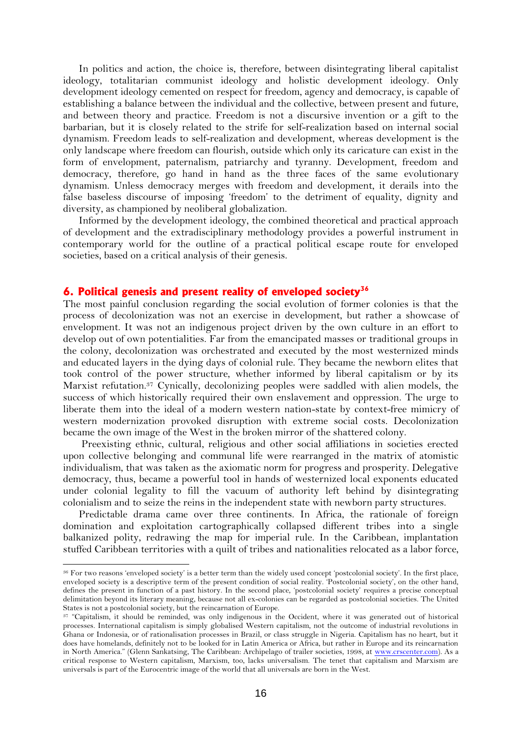In politics and action, the choice is, therefore, between disintegrating liberal capitalist ideology, totalitarian communist ideology and holistic development ideology. Only development ideology cemented on respect for freedom, agency and democracy, is capable of establishing a balance between the individual and the collective, between present and future, and between theory and practice. Freedom is not a discursive invention or a gift to the barbarian, but it is closely related to the strife for self-realization based on internal social dynamism. Freedom leads to self-realization and development, whereas development is the only landscape where freedom can flourish, outside which only its caricature can exist in the form of envelopment, paternalism, patriarchy and tyranny. Development, freedom and democracy, therefore, go hand in hand as the three faces of the same evolutionary dynamism. Unless democracy merges with freedom and development, it derails into the false baseless discourse of imposing 'freedom' to the detriment of equality, dignity and diversity, as championed by neoliberal globalization.

Informed by the development ideology, the combined theoretical and practical approach of development and the extradisciplinary methodology provides a powerful instrument in contemporary world for the outline of a practical political escape route for enveloped societies, based on a critical analysis of their genesis.

## **6. Political genesis and present reality of enveloped society<sup>36</sup>**

The most painful conclusion regarding the social evolution of former colonies is that the process of decolonization was not an exercise in development, but rather a showcase of envelopment. It was not an indigenous project driven by the own culture in an effort to develop out of own potentialities. Far from the emancipated masses or traditional groups in the colony, decolonization was orchestrated and executed by the most westernized minds and educated layers in the dying days of colonial rule. They became the newborn elites that took control of the power structure, whether informed by liberal capitalism or by its Marxist refutation.<sup>37</sup> Cynically, decolonizing peoples were saddled with alien models, the success of which historically required their own enslavement and oppression. The urge to liberate them into the ideal of a modern western nation-state by context-free mimicry of western modernization provoked disruption with extreme social costs. Decolonization became the own image of the West in the broken mirror of the shattered colony.

Preexisting ethnic, cultural, religious and other social affiliations in societies erected upon collective belonging and communal life were rearranged in the matrix of atomistic individualism, that was taken as the axiomatic norm for progress and prosperity. Delegative democracy, thus, became a powerful tool in hands of westernized local exponents educated under colonial legality to fill the vacuum of authority left behind by disintegrating colonialism and to seize the reins in the independent state with newborn party structures.

Predictable drama came over three continents. In Africa, the rationale of foreign domination and exploitation cartographically collapsed different tribes into a single balkanized polity, redrawing the map for imperial rule. In the Caribbean, implantation stuffed Caribbean territories with a quilt of tribes and nationalities relocated as a labor force,

<sup>36</sup> For two reasons 'enveloped society' is a better term than the widely used concept 'postcolonial society'. In the first place, enveloped society is a descriptive term of the present condition of social reality. 'Postcolonial society', on the other hand, defines the present in function of a past history. In the second place, 'postcolonial society' requires a precise conceptual delimitation beyond its literary meaning, because not all ex-colonies can be regarded as postcolonial societies. The United States is not a postcolonial society, but the reincarnation of Europe.

<sup>37</sup> "Capitalism, it should be reminded, was only indigenous in the Occident, where it was generated out of historical processes. International capitalism is simply globalised Western capitalism, not the outcome of industrial revolutions in Ghana or Indonesia, or of rationalisation processes in Brazil, or class struggle in Nigeria. Capitalism has no heart, but it does have homelands, definitely not to be looked for in Latin America or Africa, but rather in Europe and its reincarnation in North America." (Glenn Sankatsing, The Caribbean: Archipelago of trailer societies, 1998, at [www.crscenter.com\)](http://www.crscenter.com/). As a critical response to Western capitalism, Marxism, too, lacks universalism. The tenet that capitalism and Marxism are universals is part of the Eurocentric image of the world that all universals are born in the West.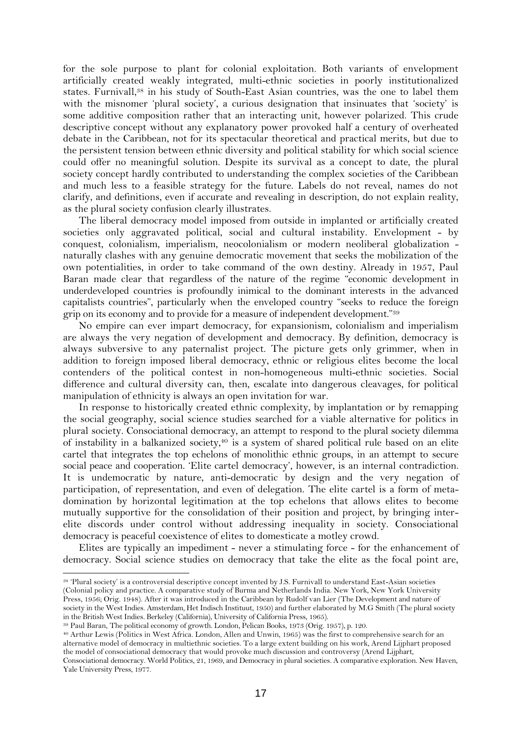for the sole purpose to plant for colonial exploitation. Both variants of envelopment artificially created weakly integrated, multi-ethnic societies in poorly institutionalized states. Furnivall,<sup>38</sup> in his study of South-East Asian countries, was the one to label them with the misnomer 'plural society', a curious designation that insinuates that 'society' is some additive composition rather that an interacting unit, however polarized. This crude descriptive concept without any explanatory power provoked half a century of overheated debate in the Caribbean, not for its spectacular theoretical and practical merits, but due to the persistent tension between ethnic diversity and political stability for which social science could offer no meaningful solution. Despite its survival as a concept to date, the plural society concept hardly contributed to understanding the complex societies of the Caribbean and much less to a feasible strategy for the future. Labels do not reveal, names do not clarify, and definitions, even if accurate and revealing in description, do not explain reality, as the plural society confusion clearly illustrates.

The liberal democracy model imposed from outside in implanted or artificially created societies only aggravated political, social and cultural instability. Envelopment - by conquest, colonialism, imperialism, neocolonialism or modern neoliberal globalization naturally clashes with any genuine democratic movement that seeks the mobilization of the own potentialities, in order to take command of the own destiny. Already in 1957, Paul Baran made clear that regardless of the nature of the regime "economic development in underdeveloped countries is profoundly inimical to the dominant interests in the advanced capitalists countries", particularly when the enveloped country "seeks to reduce the foreign grip on its economy and to provide for a measure of independent development."<sup>39</sup>

No empire can ever impart democracy, for expansionism, colonialism and imperialism are always the very negation of development and democracy. By definition, democracy is always subversive to any paternalist project. The picture gets only grimmer, when in addition to foreign imposed liberal democracy, ethnic or religious elites become the local contenders of the political contest in non-homogeneous multi-ethnic societies. Social difference and cultural diversity can, then, escalate into dangerous cleavages, for political manipulation of ethnicity is always an open invitation for war.

In response to historically created ethnic complexity, by implantation or by remapping the social geography, social science studies searched for a viable alternative for politics in plural society. Consociational democracy, an attempt to respond to the plural society dilemma of instability in a balkanized society, <sup>40</sup> is a system of shared political rule based on an elite cartel that integrates the top echelons of monolithic ethnic groups, in an attempt to secure social peace and cooperation. 'Elite cartel democracy', however, is an internal contradiction. It is undemocratic by nature, anti-democratic by design and the very negation of participation, of representation, and even of delegation. The elite cartel is a form of metadomination by horizontal legitimation at the top echelons that allows elites to become mutually supportive for the consolidation of their position and project, by bringing interelite discords under control without addressing inequality in society. Consociational democracy is peaceful coexistence of elites to domesticate a motley crowd.

Elites are typically an impediment - never a stimulating force - for the enhancement of democracy. Social science studies on democracy that take the elite as the focal point are,

in the British West Indies. Berkeley (California), University of California Press, 1965).

Yale University Press, 1977.

<sup>38</sup> 'Plural society' is a controversial descriptive concept invented by J.S. Furnivall to understand East-Asian societies (Colonial policy and practice. A comparative study of Burma and Netherlands India. New York, New York University Press, 1956; Orig. 1948). After it was introduced in the Caribbean by Rudolf van Lier (The Development and nature of society in the West Indies. Amsterdam, Het Indisch Instituut, 1950) and further elaborated by M.G Smith (The plural society

<sup>39</sup> Paul Baran, The political economy of growth. London, Pelican Books, 1973 (Orig. 1957), p. 120.

<sup>40</sup> Arthur Lewis (Politics in West Africa. London, Allen and Unwin, 1965) was the first to comprehensive search for an alternative model of democracy in multiethnic societies. To a large extent building on his work, Arend Lijphart proposed the model of consociational democracy that would provoke much discussion and controversy (Arend Lijphart, Consociational democracy. World Politics, 21, 1969, and Democracy in plural societies. A comparative exploration. New Haven,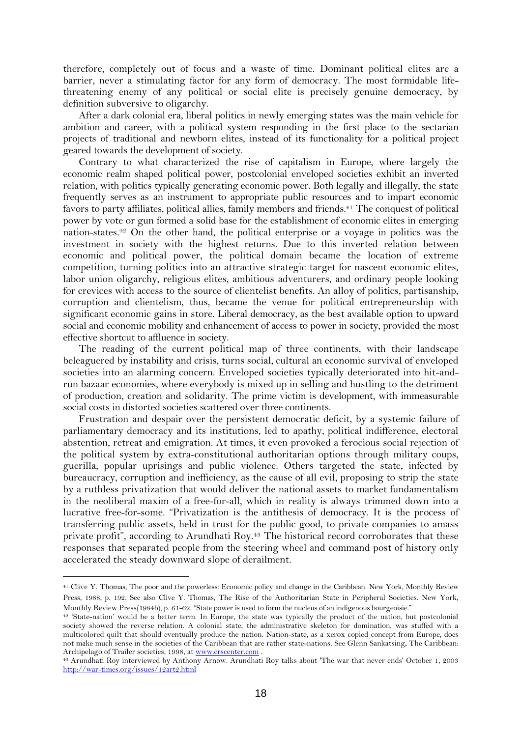therefore, completely out of focus and a waste of time. Dominant political elites are a barrier, never a stimulating factor for any form of democracy. The most formidable lifethreatening enemy of any political or social elite is precisely genuine democracy, by definition subversive to oligarchy.

After a dark colonial era, liberal politics in newly emerging states was the main vehicle for ambition and career, with a political system responding in the first place to the sectarian projects of traditional and newborn elites, instead of its functionality for a political project geared towards the development of society.

Contrary to what characterized the rise of capitalism in Europe, where largely the economic realm shaped political power, postcolonial enveloped societies exhibit an inverted relation, with politics typically generating economic power. Both legally and illegally, the state frequently serves as an instrument to appropriate public resources and to impart economic favors to party affiliates, political allies, family members and friends.<sup>41</sup> The conquest of political power by vote or gun formed a solid base for the establishment of economic elites in emerging nation-states.<sup>42</sup> On the other hand, the political enterprise or a voyage in politics was the investment in society with the highest returns. Due to this inverted relation between economic and political power, the political domain became the location of extreme competition, turning politics into an attractive strategic target for nascent economic elites, labor union oligarchy, religious elites, ambitious adventurers, and ordinary people looking for crevices with access to the source of clientelist benefits. An alloy of politics, partisanship, corruption and clientelism, thus, became the venue for political entrepreneurship with significant economic gains in store. Liberal democracy, as the best available option to upward social and economic mobility and enhancement of access to power in society, provided the most effective shortcut to affluence in society.

The reading of the current political map of three continents, with their landscape beleaguered by instability and crisis, turns social, cultural an economic survival of enveloped societies into an alarming concern. Enveloped societies typically deteriorated into hit-andrun bazaar economies, where everybody is mixed up in selling and hustling to the detriment of production, creation and solidarity. The prime victim is development, with immeasurable social costs in distorted societies scattered over three continents.

Frustration and despair over the persistent democratic deficit, by a systemic failure of parliamentary democracy and its institutions, led to apathy, political indifference, electoral abstention, retreat and emigration. At times, it even provoked a ferocious social rejection of the political system by extra-constitutional authoritarian options through military coups, guerilla, popular uprisings and public violence. Others targeted the state, infected by bureaucracy, corruption and inefficiency, as the cause of all evil, proposing to strip the state by a ruthless privatization that would deliver the national assets to market fundamentalism in the neoliberal maxim of a free-for-all, which in reality is always trimmed down into a lucrative free-for-some. "Privatization is the antithesis of democracy. It is the process of transferring public assets, held in trust for the public good, to private companies to amass private profit", according to Arundhati Roy.<sup>43</sup> The historical record corroborates that these responses that separated people from the steering wheel and command post of history only accelerated the steady downward slope of derailment.

<sup>41</sup> Clive Y. Thomas, The poor and the powerless: Economic policy and change in the Caribbean. New York, Monthly Review Press, 1988, p. 192. See also Clive Y. Thomas, The Rise of the Authoritarian State in Peripheral Societies. New York, Monthly Review Press(1984b), p. 61-62. "State power is used to form the nucleus of an indigenous bourgeoisie."

<sup>42</sup> 'State-nation' would be a better term. In Europe, the state was typically the product of the nation, but postcolonial society showed the reverse relation. A colonial state, the administrative skeleton for domination, was stuffed with a multicolored quilt that should eventually produce the nation. Nation-state, as a xerox copied concept from Europe, does not make much sense in the societies of the Caribbean that are rather state-nations. See Glenn Sankatsing, The Caribbean: Archipelago of Trailer societies, 1998, at [www.crscenter.com](http://www.crscenter.com/) .

<sup>43</sup> Arundhati Roy interviewed by Anthony Arnow. Arundhati Roy talks about 'The war that never ends' October 1, 2003 <http://war-times.org/issues/12art2.html>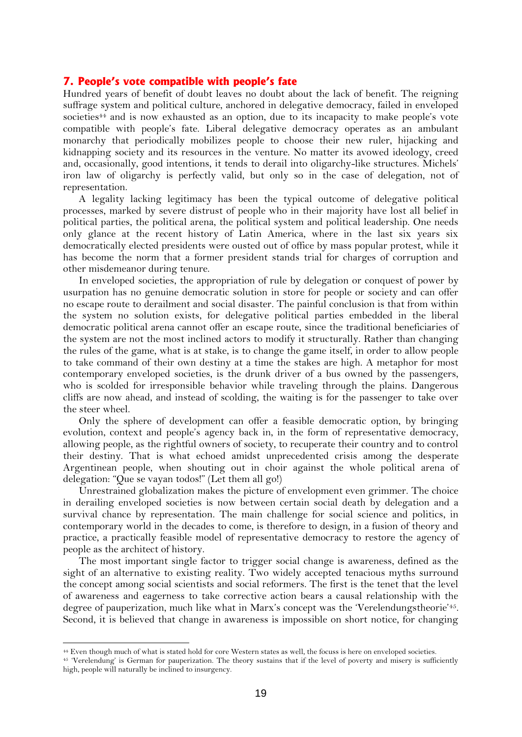## **7. People's vote compatible with people's fate**

Hundred years of benefit of doubt leaves no doubt about the lack of benefit. The reigning suffrage system and political culture, anchored in delegative democracy, failed in enveloped societies<sup>44</sup> and is now exhausted as an option, due to its incapacity to make people's vote compatible with people's fate. Liberal delegative democracy operates as an ambulant monarchy that periodically mobilizes people to choose their new ruler, hijacking and kidnapping society and its resources in the venture. No matter its avowed ideology, creed and, occasionally, good intentions, it tends to derail into oligarchy-like structures. Michels' iron law of oligarchy is perfectly valid, but only so in the case of delegation, not of representation.

A legality lacking legitimacy has been the typical outcome of delegative political processes, marked by severe distrust of people who in their majority have lost all belief in political parties, the political arena, the political system and political leadership. One needs only glance at the recent history of Latin America, where in the last six years six democratically elected presidents were ousted out of office by mass popular protest, while it has become the norm that a former president stands trial for charges of corruption and other misdemeanor during tenure.

In enveloped societies, the appropriation of rule by delegation or conquest of power by usurpation has no genuine democratic solution in store for people or society and can offer no escape route to derailment and social disaster. The painful conclusion is that from within the system no solution exists, for delegative political parties embedded in the liberal democratic political arena cannot offer an escape route, since the traditional beneficiaries of the system are not the most inclined actors to modify it structurally. Rather than changing the rules of the game, what is at stake, is to change the game itself, in order to allow people to take command of their own destiny at a time the stakes are high. A metaphor for most contemporary enveloped societies, is the drunk driver of a bus owned by the passengers, who is scolded for irresponsible behavior while traveling through the plains. Dangerous cliffs are now ahead, and instead of scolding, the waiting is for the passenger to take over the steer wheel.

Only the sphere of development can offer a feasible democratic option, by bringing evolution, context and people's agency back in, in the form of representative democracy, allowing people, as the rightful owners of society, to recuperate their country and to control their destiny. That is what echoed amidst unprecedented crisis among the desperate Argentinean people, when shouting out in choir against the whole political arena of delegation: "Que se vayan todos!" (Let them all go!)

Unrestrained globalization makes the picture of envelopment even grimmer. The choice in derailing enveloped societies is now between certain social death by delegation and a survival chance by representation. The main challenge for social science and politics, in contemporary world in the decades to come, is therefore to design, in a fusion of theory and practice, a practically feasible model of representative democracy to restore the agency of people as the architect of history.

The most important single factor to trigger social change is awareness, defined as the sight of an alternative to existing reality. Two widely accepted tenacious myths surround the concept among social scientists and social reformers. The first is the tenet that the level of awareness and eagerness to take corrective action bears a causal relationship with the degree of pauperization, much like what in Marx's concept was the 'Verelendungstheorie'<sup>45</sup>. Second, it is believed that change in awareness is impossible on short notice, for changing

<sup>44</sup> Even though much of what is stated hold for core Western states as well, the focuss is here on enveloped societies.

<sup>45</sup> 'Verelendung' is German for pauperization. The theory sustains that if the level of poverty and misery is sufficiently high, people will naturally be inclined to insurgency.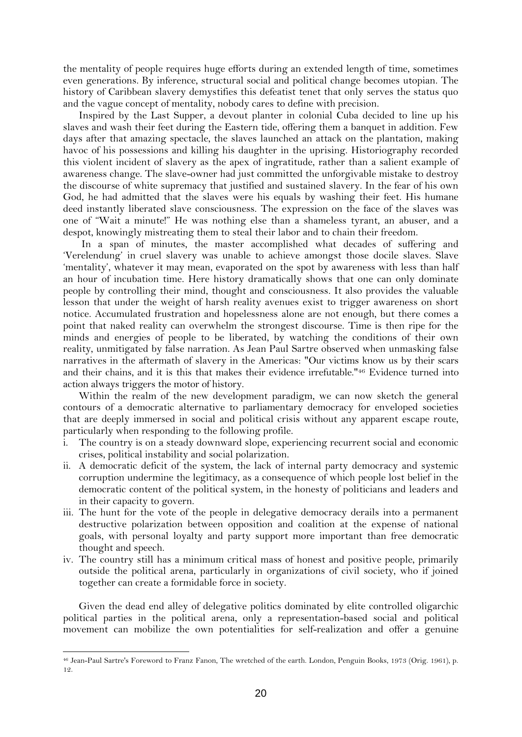the mentality of people requires huge efforts during an extended length of time, sometimes even generations. By inference, structural social and political change becomes utopian. The history of Caribbean slavery demystifies this defeatist tenet that only serves the status quo and the vague concept of mentality, nobody cares to define with precision.

Inspired by the Last Supper, a devout planter in colonial Cuba decided to line up his slaves and wash their feet during the Eastern tide, offering them a banquet in addition. Few days after that amazing spectacle, the slaves launched an attack on the plantation, making havoc of his possessions and killing his daughter in the uprising. Historiography recorded this violent incident of slavery as the apex of ingratitude, rather than a salient example of awareness change. The slave-owner had just committed the unforgivable mistake to destroy the discourse of white supremacy that justified and sustained slavery. In the fear of his own God, he had admitted that the slaves were his equals by washing their feet. His humane deed instantly liberated slave consciousness. The expression on the face of the slaves was one of "Wait a minute!" He was nothing else than a shameless tyrant, an abuser, and a despot, knowingly mistreating them to steal their labor and to chain their freedom.

In a span of minutes, the master accomplished what decades of suffering and 'Verelendung' in cruel slavery was unable to achieve amongst those docile slaves. Slave 'mentality', whatever it may mean, evaporated on the spot by awareness with less than half an hour of incubation time. Here history dramatically shows that one can only dominate people by controlling their mind, thought and consciousness. It also provides the valuable lesson that under the weight of harsh reality avenues exist to trigger awareness on short notice. Accumulated frustration and hopelessness alone are not enough, but there comes a point that naked reality can overwhelm the strongest discourse. Time is then ripe for the minds and energies of people to be liberated, by watching the conditions of their own reality, unmitigated by false narration. As Jean Paul Sartre observed when unmasking false narratives in the aftermath of slavery in the Americas: "Our victims know us by their scars and their chains, and it is this that makes their evidence irrefutable."<sup>46</sup> Evidence turned into action always triggers the motor of history.

Within the realm of the new development paradigm, we can now sketch the general contours of a democratic alternative to parliamentary democracy for enveloped societies that are deeply immersed in social and political crisis without any apparent escape route, particularly when responding to the following profile.

- The country is on a steady downward slope, experiencing recurrent social and economic crises, political instability and social polarization.
- ii. A democratic deficit of the system, the lack of internal party democracy and systemic corruption undermine the legitimacy, as a consequence of which people lost belief in the democratic content of the political system, in the honesty of politicians and leaders and in their capacity to govern.
- iii. The hunt for the vote of the people in delegative democracy derails into a permanent destructive polarization between opposition and coalition at the expense of national goals, with personal loyalty and party support more important than free democratic thought and speech.
- iv. The country still has a minimum critical mass of honest and positive people, primarily outside the political arena, particularly in organizations of civil society, who if joined together can create a formidable force in society.

Given the dead end alley of delegative politics dominated by elite controlled oligarchic political parties in the political arena, only a representation-based social and political movement can mobilize the own potentialities for self-realization and offer a genuine

<sup>46</sup> Jean-Paul Sartre's Foreword to Franz Fanon, The wretched of the earth. London, Penguin Books, 1973 (Orig. 1961), p. 12.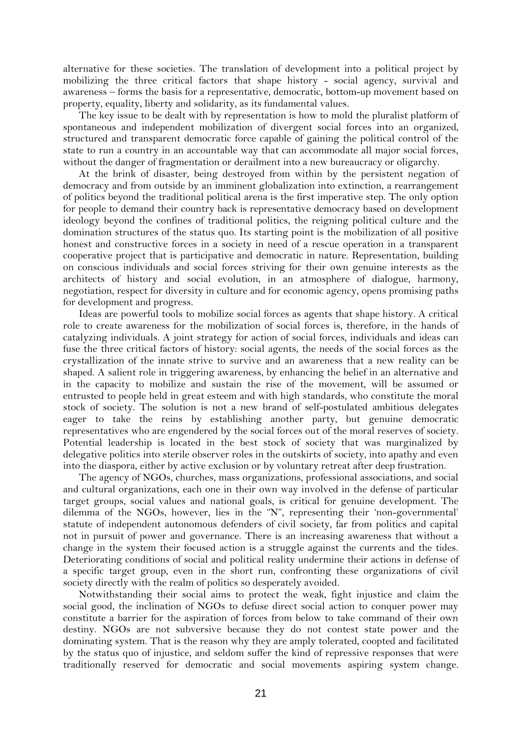alternative for these societies. The translation of development into a political project by mobilizing the three critical factors that shape history - social agency, survival and awareness – forms the basis for a representative, democratic, bottom-up movement based on property, equality, liberty and solidarity, as its fundamental values.

The key issue to be dealt with by representation is how to mold the pluralist platform of spontaneous and independent mobilization of divergent social forces into an organized, structured and transparent democratic force capable of gaining the political control of the state to run a country in an accountable way that can accommodate all major social forces, without the danger of fragmentation or derailment into a new bureaucracy or oligarchy.

At the brink of disaster, being destroyed from within by the persistent negation of democracy and from outside by an imminent globalization into extinction, a rearrangement of politics beyond the traditional political arena is the first imperative step. The only option for people to demand their country back is representative democracy based on development ideology beyond the confines of traditional politics, the reigning political culture and the domination structures of the status quo. Its starting point is the mobilization of all positive honest and constructive forces in a society in need of a rescue operation in a transparent cooperative project that is participative and democratic in nature. Representation, building on conscious individuals and social forces striving for their own genuine interests as the architects of history and social evolution, in an atmosphere of dialogue, harmony, negotiation, respect for diversity in culture and for economic agency, opens promising paths for development and progress.

Ideas are powerful tools to mobilize social forces as agents that shape history. A critical role to create awareness for the mobilization of social forces is, therefore, in the hands of catalyzing individuals. A joint strategy for action of social forces, individuals and ideas can fuse the three critical factors of history: social agents, the needs of the social forces as the crystallization of the innate strive to survive and an awareness that a new reality can be shaped. A salient role in triggering awareness, by enhancing the belief in an alternative and in the capacity to mobilize and sustain the rise of the movement, will be assumed or entrusted to people held in great esteem and with high standards, who constitute the moral stock of society. The solution is not a new brand of self-postulated ambitious delegates eager to take the reins by establishing another party, but genuine democratic representatives who are engendered by the social forces out of the moral reserves of society. Potential leadership is located in the best stock of society that was marginalized by delegative politics into sterile observer roles in the outskirts of society, into apathy and even into the diaspora, either by active exclusion or by voluntary retreat after deep frustration.

The agency of NGOs, churches, mass organizations, professional associations, and social and cultural organizations, each one in their own way involved in the defense of particular target groups, social values and national goals, is critical for genuine development. The dilemma of the NGOs, however, lies in the "N", representing their 'non-governmental' statute of independent autonomous defenders of civil society, far from politics and capital not in pursuit of power and governance. There is an increasing awareness that without a change in the system their focused action is a struggle against the currents and the tides. Deteriorating conditions of social and political reality undermine their actions in defense of a specific target group, even in the short run, confronting these organizations of civil society directly with the realm of politics so desperately avoided.

Notwithstanding their social aims to protect the weak, fight injustice and claim the social good, the inclination of NGOs to defuse direct social action to conquer power may constitute a barrier for the aspiration of forces from below to take command of their own destiny. NGOs are not subversive because they do not contest state power and the dominating system. That is the reason why they are amply tolerated, coopted and facilitated by the status quo of injustice, and seldom suffer the kind of repressive responses that were traditionally reserved for democratic and social movements aspiring system change.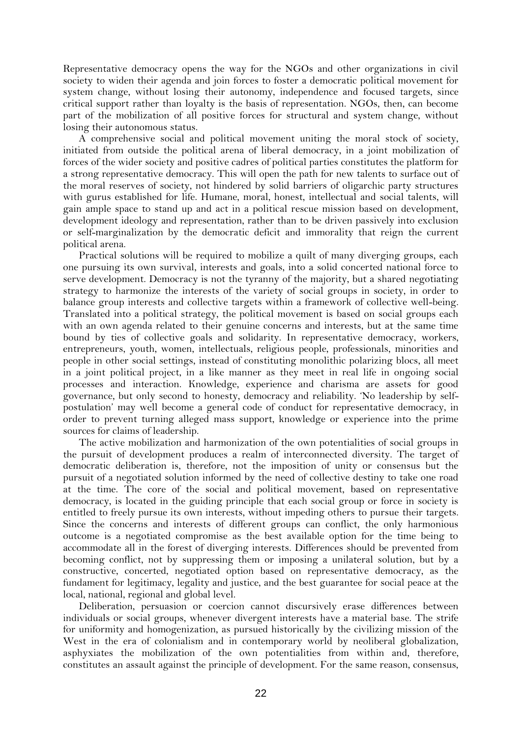Representative democracy opens the way for the NGOs and other organizations in civil society to widen their agenda and join forces to foster a democratic political movement for system change, without losing their autonomy, independence and focused targets, since critical support rather than loyalty is the basis of representation. NGOs, then, can become part of the mobilization of all positive forces for structural and system change, without losing their autonomous status.

A comprehensive social and political movement uniting the moral stock of society, initiated from outside the political arena of liberal democracy, in a joint mobilization of forces of the wider society and positive cadres of political parties constitutes the platform for a strong representative democracy. This will open the path for new talents to surface out of the moral reserves of society, not hindered by solid barriers of oligarchic party structures with gurus established for life. Humane, moral, honest, intellectual and social talents, will gain ample space to stand up and act in a political rescue mission based on development, development ideology and representation, rather than to be driven passively into exclusion or self-marginalization by the democratic deficit and immorality that reign the current political arena.

Practical solutions will be required to mobilize a quilt of many diverging groups, each one pursuing its own survival, interests and goals, into a solid concerted national force to serve development. Democracy is not the tyranny of the majority, but a shared negotiating strategy to harmonize the interests of the variety of social groups in society, in order to balance group interests and collective targets within a framework of collective well-being. Translated into a political strategy, the political movement is based on social groups each with an own agenda related to their genuine concerns and interests, but at the same time bound by ties of collective goals and solidarity. In representative democracy, workers, entrepreneurs, youth, women, intellectuals, religious people, professionals, minorities and people in other social settings, instead of constituting monolithic polarizing blocs, all meet in a joint political project, in a like manner as they meet in real life in ongoing social processes and interaction. Knowledge, experience and charisma are assets for good governance, but only second to honesty, democracy and reliability. 'No leadership by selfpostulation' may well become a general code of conduct for representative democracy, in order to prevent turning alleged mass support, knowledge or experience into the prime sources for claims of leadership.

The active mobilization and harmonization of the own potentialities of social groups in the pursuit of development produces a realm of interconnected diversity. The target of democratic deliberation is, therefore, not the imposition of unity or consensus but the pursuit of a negotiated solution informed by the need of collective destiny to take one road at the time. The core of the social and political movement, based on representative democracy, is located in the guiding principle that each social group or force in society is entitled to freely pursue its own interests, without impeding others to pursue their targets. Since the concerns and interests of different groups can conflict, the only harmonious outcome is a negotiated compromise as the best available option for the time being to accommodate all in the forest of diverging interests. Differences should be prevented from becoming conflict, not by suppressing them or imposing a unilateral solution, but by a constructive, concerted, negotiated option based on representative democracy, as the fundament for legitimacy, legality and justice, and the best guarantee for social peace at the local, national, regional and global level.

Deliberation, persuasion or coercion cannot discursively erase differences between individuals or social groups, whenever divergent interests have a material base. The strife for uniformity and homogenization, as pursued historically by the civilizing mission of the West in the era of colonialism and in contemporary world by neoliberal globalization, asphyxiates the mobilization of the own potentialities from within and, therefore, constitutes an assault against the principle of development. For the same reason, consensus,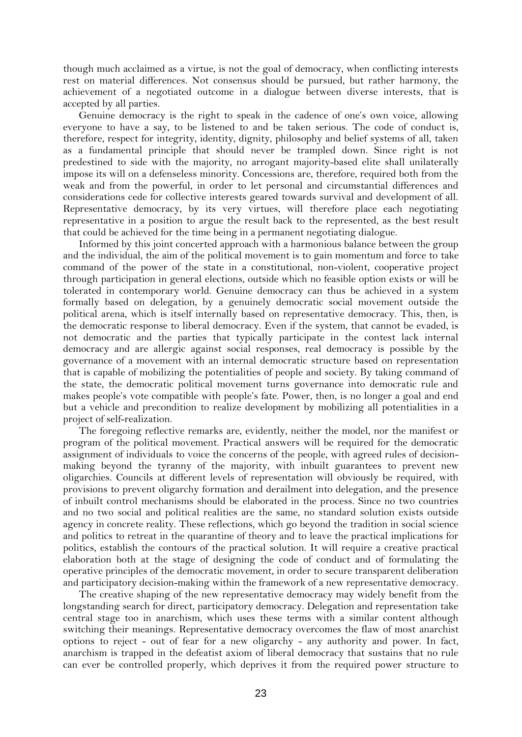though much acclaimed as a virtue, is not the goal of democracy, when conflicting interests rest on material differences. Not consensus should be pursued, but rather harmony, the achievement of a negotiated outcome in a dialogue between diverse interests, that is accepted by all parties.

Genuine democracy is the right to speak in the cadence of one's own voice, allowing everyone to have a say, to be listened to and be taken serious. The code of conduct is, therefore, respect for integrity, identity, dignity, philosophy and belief systems of all, taken as a fundamental principle that should never be trampled down. Since right is not predestined to side with the majority, no arrogant majority-based elite shall unilaterally impose its will on a defenseless minority. Concessions are, therefore, required both from the weak and from the powerful, in order to let personal and circumstantial differences and considerations cede for collective interests geared towards survival and development of all. Representative democracy, by its very virtues, will therefore place each negotiating representative in a position to argue the result back to the represented, as the best result that could be achieved for the time being in a permanent negotiating dialogue.

Informed by this joint concerted approach with a harmonious balance between the group and the individual, the aim of the political movement is to gain momentum and force to take command of the power of the state in a constitutional, non-violent, cooperative project through participation in general elections, outside which no feasible option exists or will be tolerated in contemporary world. Genuine democracy can thus be achieved in a system formally based on delegation, by a genuinely democratic social movement outside the political arena, which is itself internally based on representative democracy. This, then, is the democratic response to liberal democracy. Even if the system, that cannot be evaded, is not democratic and the parties that typically participate in the contest lack internal democracy and are allergic against social responses, real democracy is possible by the governance of a movement with an internal democratic structure based on representation that is capable of mobilizing the potentialities of people and society. By taking command of the state, the democratic political movement turns governance into democratic rule and makes people's vote compatible with people's fate. Power, then, is no longer a goal and end but a vehicle and precondition to realize development by mobilizing all potentialities in a project of self-realization.

The foregoing reflective remarks are, evidently, neither the model, nor the manifest or program of the political movement. Practical answers will be required for the democratic assignment of individuals to voice the concerns of the people, with agreed rules of decisionmaking beyond the tyranny of the majority, with inbuilt guarantees to prevent new oligarchies. Councils at different levels of representation will obviously be required, with provisions to prevent oligarchy formation and derailment into delegation, and the presence of inbuilt control mechanisms should be elaborated in the process. Since no two countries and no two social and political realities are the same, no standard solution exists outside agency in concrete reality. These reflections, which go beyond the tradition in social science and politics to retreat in the quarantine of theory and to leave the practical implications for politics, establish the contours of the practical solution. It will require a creative practical elaboration both at the stage of designing the code of conduct and of formulating the operative principles of the democratic movement, in order to secure transparent deliberation and participatory decision-making within the framework of a new representative democracy.

The creative shaping of the new representative democracy may widely benefit from the longstanding search for direct, participatory democracy. Delegation and representation take central stage too in anarchism, which uses these terms with a similar content although switching their meanings. Representative democracy overcomes the flaw of most anarchist options to reject - out of fear for a new oligarchy - any authority and power. In fact, anarchism is trapped in the defeatist axiom of liberal democracy that sustains that no rule can ever be controlled properly, which deprives it from the required power structure to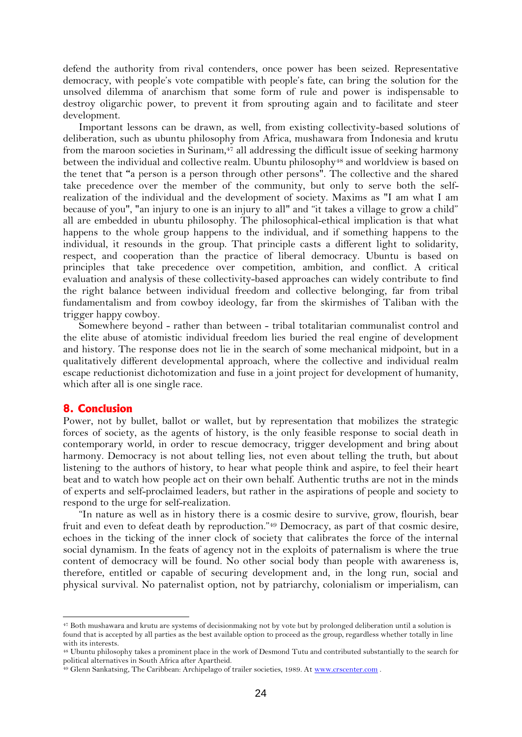defend the authority from rival contenders, once power has been seized. Representative democracy, with people's vote compatible with people's fate, can bring the solution for the unsolved dilemma of anarchism that some form of rule and power is indispensable to destroy oligarchic power, to prevent it from sprouting again and to facilitate and steer development.

Important lessons can be drawn, as well, from existing collectivity-based solutions of deliberation, such as ubuntu philosophy from Africa, mushawara from Indonesia and krutu from the maroon societies in Surinam,<sup>47</sup> all addressing the difficult issue of seeking harmony between the individual and collective realm. Ubuntu philosophy<sup>48</sup> and worldview is based on the tenet that **"**a person is a person through other persons". The collective and the shared take precedence over the member of the community, but only to serve both the selfrealization of the individual and the development of society. Maxims as "I am what I am because of you", "an injury to one is an injury to all" and "it takes a village to grow a child" all are embedded in ubuntu philosophy. The philosophical-ethical implication is that what happens to the whole group happens to the individual, and if something happens to the individual, it resounds in the group. That principle casts a different light to solidarity, respect, and cooperation than the practice of liberal democracy. Ubuntu is based on principles that take precedence over competition, ambition, and conflict. A critical evaluation and analysis of these collectivity-based approaches can widely contribute to find the right balance between individual freedom and collective belonging, far from tribal fundamentalism and from cowboy ideology, far from the skirmishes of Taliban with the trigger happy cowboy.

Somewhere beyond - rather than between - tribal totalitarian communalist control and the elite abuse of atomistic individual freedom lies buried the real engine of development and history. The response does not lie in the search of some mechanical midpoint, but in a qualitatively different developmental approach, where the collective and individual realm escape reductionist dichotomization and fuse in a joint project for development of humanity, which after all is one single race.

# **8. Conclusion**

Power, not by bullet, ballot or wallet, but by representation that mobilizes the strategic forces of society, as the agents of history, is the only feasible response to social death in contemporary world, in order to rescue democracy, trigger development and bring about harmony. Democracy is not about telling lies, not even about telling the truth, but about listening to the authors of history, to hear what people think and aspire, to feel their heart beat and to watch how people act on their own behalf. Authentic truths are not in the minds of experts and self-proclaimed leaders, but rather in the aspirations of people and society to respond to the urge for self-realization.

"In nature as well as in history there is a cosmic desire to survive, grow, flourish, bear fruit and even to defeat death by reproduction."<sup>49</sup> Democracy, as part of that cosmic desire, echoes in the ticking of the inner clock of society that calibrates the force of the internal social dynamism. In the feats of agency not in the exploits of paternalism is where the true content of democracy will be found. No other social body than people with awareness is, therefore, entitled or capable of securing development and, in the long run, social and physical survival. No paternalist option, not by patriarchy, colonialism or imperialism, can

<sup>47</sup> Both mushawara and krutu are systems of decisionmaking not by vote but by prolonged deliberation until a solution is found that is accepted by all parties as the best available option to proceed as the group, regardless whether totally in line with its interests.

<sup>48</sup> Ubuntu philosophy takes a prominent place in the work of Desmond Tutu and contributed substantially to the search for political alternatives in South Africa after Apartheid.

<sup>&</sup>lt;sup>49</sup> Glenn Sankatsing, The Caribbean: Archipelago of trailer societies, 1989. A[t www.crscenter.com](http://www.crscenter.com/).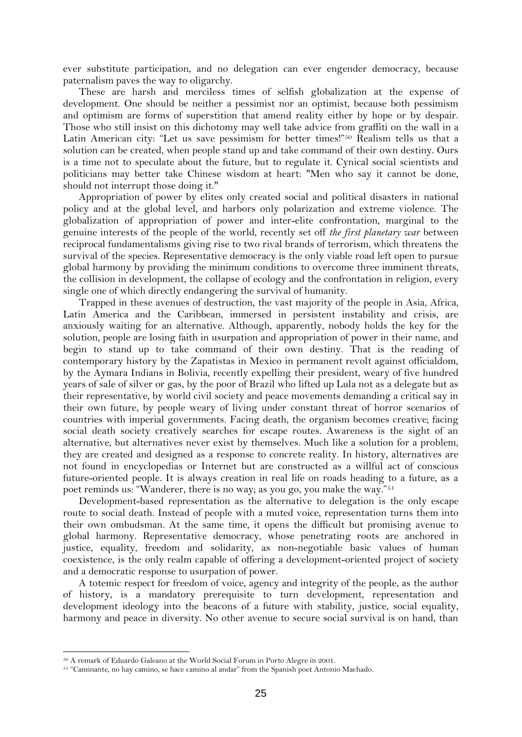ever substitute participation, and no delegation can ever engender democracy, because paternalism paves the way to oligarchy.

These are harsh and merciless times of selfish globalization at the expense of development. One should be neither a pessimist nor an optimist, because both pessimism and optimism are forms of superstition that amend reality either by hope or by despair. Those who still insist on this dichotomy may well take advice from graffiti on the wall in a Latin American city: "Let us save pessimism for better times!"<sup>50</sup> Realism tells us that a solution can be created, when people stand up and take command of their own destiny. Ours is a time not to speculate about the future, but to regulate it. Cynical social scientists and politicians may better take Chinese wisdom at heart: "Men who say it cannot be done, should not interrupt those doing it."

Appropriation of power by elites only created social and political disasters in national policy and at the global level, and harbors only polarization and extreme violence. The globalization of appropriation of power and inter-elite confrontation, marginal to the genuine interests of the people of the world, recently set off *the first planetary war* between reciprocal fundamentalisms giving rise to two rival brands of terrorism, which threatens the survival of the species. Representative democracy is the only viable road left open to pursue global harmony by providing the minimum conditions to overcome three imminent threats, the collision in development, the collapse of ecology and the confrontation in religion, every single one of which directly endangering the survival of humanity.

Trapped in these avenues of destruction, the vast majority of the people in Asia, Africa, Latin America and the Caribbean, immersed in persistent instability and crisis, are anxiously waiting for an alternative. Although, apparently, nobody holds the key for the solution, people are losing faith in usurpation and appropriation of power in their name, and begin to stand up to take command of their own destiny. That is the reading of contemporary history by the Zapatistas in Mexico in permanent revolt against officialdom, by the Aymara Indians in Bolivia, recently expelling their president, weary of five hundred years of sale of silver or gas, by the poor of Brazil who lifted up Lula not as a delegate but as their representative, by world civil society and peace movements demanding a critical say in their own future, by people weary of living under constant threat of horror scenarios of countries with imperial governments. Facing death, the organism becomes creative; facing social death society creatively searches for escape routes. Awareness is the sight of an alternative, but alternatives never exist by themselves. Much like a solution for a problem, they are created and designed as a response to concrete reality. In history, alternatives are not found in encyclopedias or Internet but are constructed as a willful act of conscious future-oriented people. It is always creation in real life on roads heading to a future, as a poet reminds us: "Wanderer, there is no way; as you go, you make the way."<sup>51</sup>

Development-based representation as the alternative to delegation is the only escape route to social death. Instead of people with a muted voice, representation turns them into their own ombudsman. At the same time, it opens the difficult but promising avenue to global harmony. Representative democracy, whose penetrating roots are anchored in justice, equality, freedom and solidarity, as non-negotiable basic values of human coexistence, is the only realm capable of offering a development-oriented project of society and a democratic response to usurpation of power.

A totemic respect for freedom of voice, agency and integrity of the people, as the author of history, is a mandatory prerequisite to turn development, representation and development ideology into the beacons of a future with stability, justice, social equality, harmony and peace in diversity. No other avenue to secure social survival is on hand, than

<sup>50</sup> A remark of Eduardo Galeano at the World Social Forum in Porto Alegre in 2001.

<sup>51</sup> "Caminante, no hay camino, se hace camino al andar" from the Spanish poet Antonio Machado.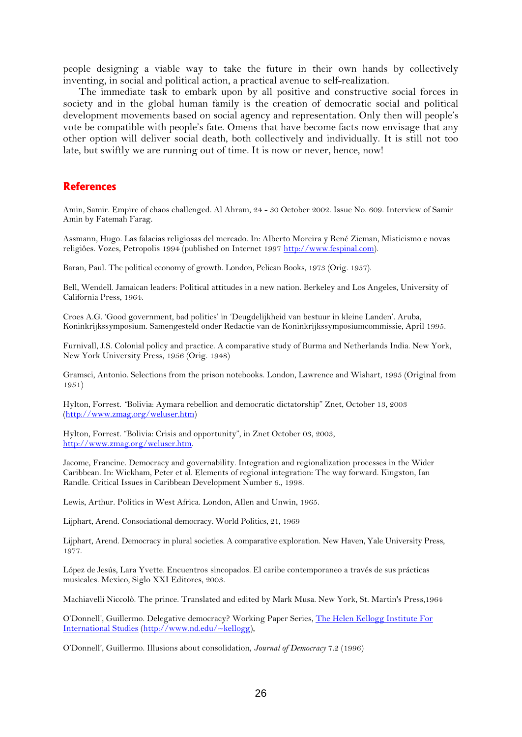people designing a viable way to take the future in their own hands by collectively inventing, in social and political action, a practical avenue to self-realization.

The immediate task to embark upon by all positive and constructive social forces in society and in the global human family is the creation of democratic social and political development movements based on social agency and representation. Only then will people's vote be compatible with people's fate. Omens that have become facts now envisage that any other option will deliver social death, both collectively and individually. It is still not too late, but swiftly we are running out of time. It is now or never, hence, now!

## **References**

Amin, Samir. Empire of chaos challenged. Al Ahram, 24 - 30 October 2002. Issue No. 609. Interview of Samir Amin by Fatemah Farag.

Assmann, Hugo. Las falacias religiosas del mercado. In: Alberto Moreira y René Zicman, Misticismo e novas religiôes. Vozes, Petropolis 1994 (published on Internet 1997 [http://www.fespinal.com\)](http://www.fespinal.com/).

Baran, Paul. The political economy of growth. London, Pelican Books, 1973 (Orig. 1957).

Bell, Wendell. Jamaican leaders: Political attitudes in a new nation. Berkeley and Los Angeles, University of California Press, 1964.

Croes A.G. 'Good government, bad politics' in 'Deugdelijkheid van bestuur in kleine Landen'. Aruba, Koninkrijkssymposium. Samengesteld onder Redactie van de Koninkrijkssymposiumcommissie, April 1995.

Furnivall, J.S. Colonial policy and practice. A comparative study of Burma and Netherlands India. New York, New York University Press, 1956 (Orig. 1948)

Gramsci, Antonio. Selections from the prison notebooks. London, Lawrence and Wishart, 1995 (Original from 1951)

Hylton, Forrest. *"*Bolivia: Aymara rebellion and democratic dictatorship" Znet, October 13, 2003 [\(http://www.zmag.org/weluser.htm\)](http://www.zmag.org/weluser.htm)

Hylton, Forrest. "Bolivia: Crisis and opportunity", in Znet October 03, 2003, [http://www.zmag.org/weluser.htm.](http://www.zmag.org/weluser.htm) 

Jacome, Francine. Democracy and governability. Integration and regionalization processes in the Wider Caribbean. In: Wickham, Peter et al. Elements of regional integration: The way forward. Kingston, Ian Randle. Critical Issues in Caribbean Development Number 6., 1998.

Lewis, Arthur. Politics in West Africa. London, Allen and Unwin, 1965.

Lijphart, Arend. Consociational democracy. World Politics, 21, 1969

Lijphart, Arend. Democracy in plural societies. A comparative exploration. New Haven, Yale University Press, 1977.

López de Jesús, Lara Yvette. Encuentros sincopados. El caribe contemporaneo a través de sus prácticas musicales. Mexico, Siglo XXI Editores, 2003.

Machiavelli Niccolò. The prince. Translated and edited by Mark Musa. New York, St. Martin's Press,1964

O'Donnell', Guillermo. Delegative democracy? Working Paper Series, [The Helen Kellogg Institute For](http://www.nd.edu/~kellogg)  [International Studies](http://www.nd.edu/~kellogg) [\(http://www.nd.edu/~kellogg\)](http://www.nd.edu/~kellogg),

O'Donnell', Guillermo. Illusions about consolidation, *Journal of Democracy* 7.2 (1996)